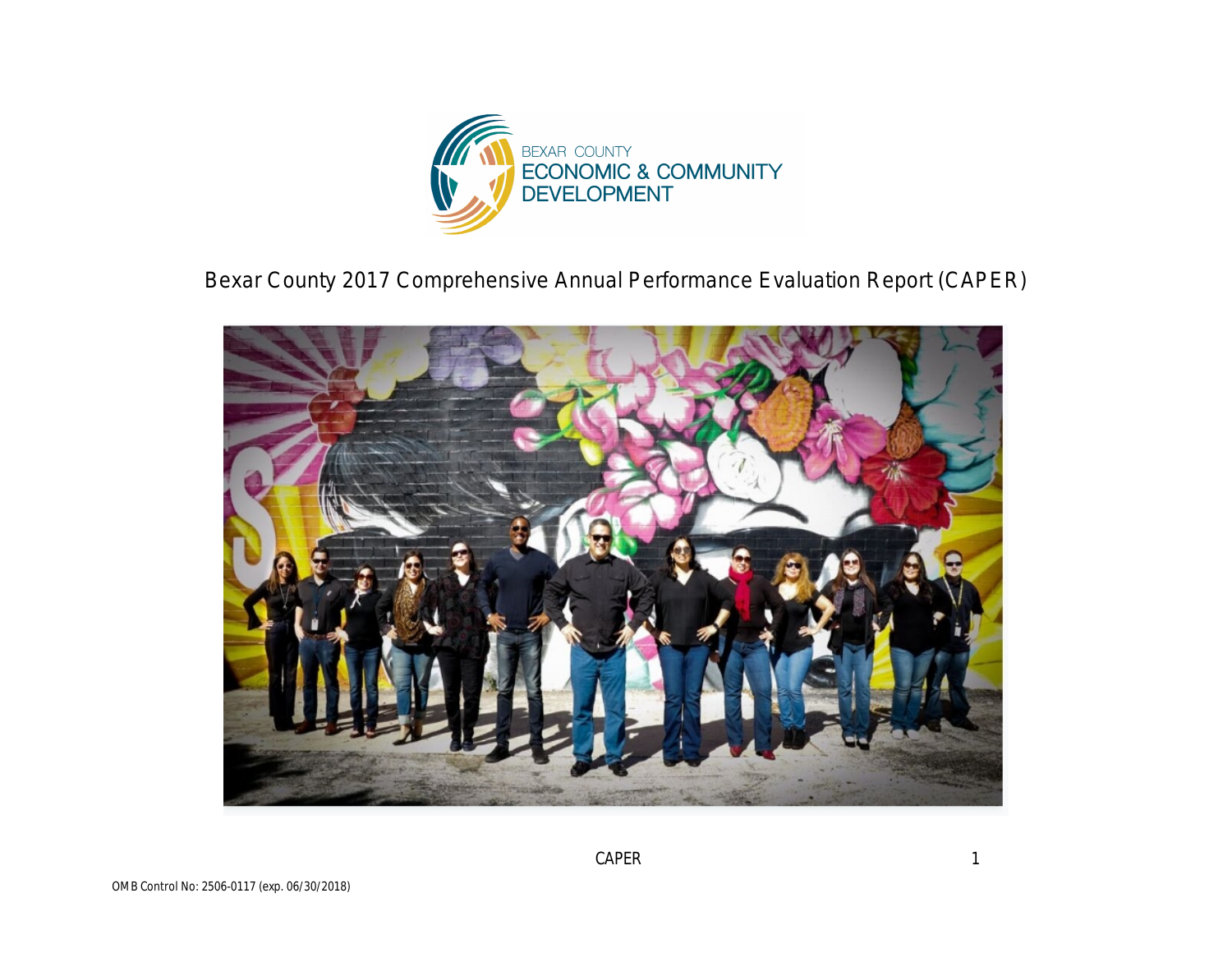

Bexar County 2017 Comprehensive Annual Performance Evaluation Report (CAPER)

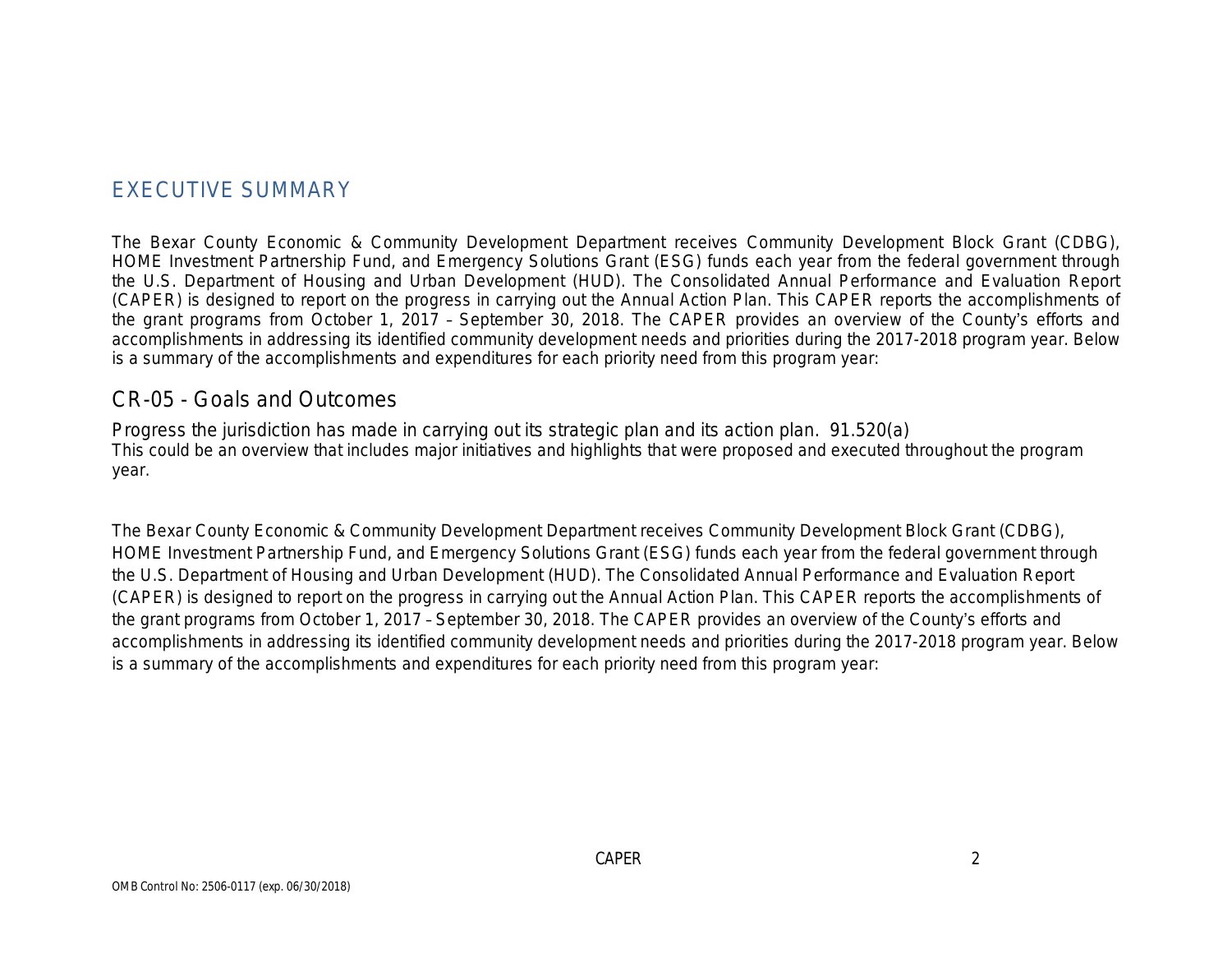## EXECUTIVE SUMMARY

The Bexar County Economic & Community Development Department receives Community Development Block Grant (CDBG), HOME Investment Partnership Fund, and Emergency Solutions Grant (ESG) funds each year from the federal government through the U.S. Department of Housing and Urban Development (HUD). The Consolidated Annual Performance and Evaluation Report (CAPER) is designed to report on the progress in carrying out the Annual Action Plan. This CAPER reports the accomplishments of the grant programs from October 1, 2017 – September 30, 2018. The CAPER provides an overview of the County's efforts and accomplishments in addressing its identified community development needs and priorities during the 2017-2018 program year. Below is a summary of the accomplishments and expenditures for each priority need from this program year:

### CR-05 - Goals and Outcomes

Progress the jurisdiction has made in carrying out its strategic plan and its action plan. 91.520(a) This could be an overview that includes major initiatives and highlights that were proposed and executed throughout the program year.

The Bexar County Economic & Community Development Department receives Community Development Block Grant (CDBG), HOME Investment Partnership Fund, and Emergency Solutions Grant (ESG) funds each year from the federal government through the U.S. Department of Housing and Urban Development (HUD). The Consolidated Annual Performance and Evaluation Report (CAPER) is designed to report on the progress in carrying out the Annual Action Plan. This CAPER reports the accomplishments of the grant programs from October 1, 2017 – September 30, 2018. The CAPER provides an overview of the County's efforts and accomplishments in addressing its identified community development needs and priorities during the 2017-2018 program year. Below is a summary of the accomplishments and expenditures for each priority need from this program year: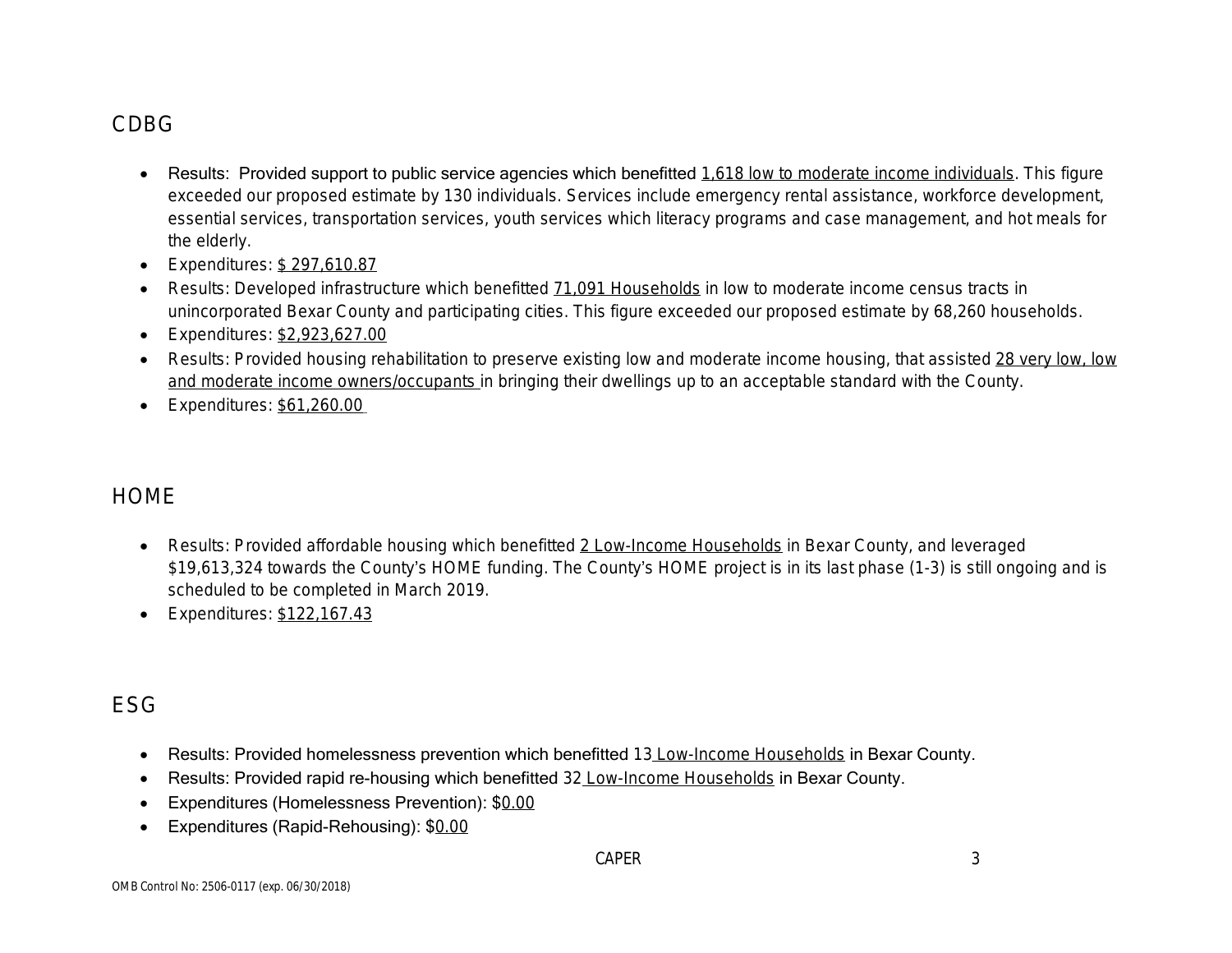# CDBG

- Results: Provided support to public service agencies which benefitted 1,618 low to moderate income individuals. This figure exceeded our proposed estimate by 130 individuals. Services include emergency rental assistance, workforce development, essential services, transportation services, youth services which literacy programs and case management, and hot meals for the elderly.
- Expenditures: \$297,610.87
- Results: Developed infrastructure which benefitted 71,091 Households in low to moderate income census tracts in unincorporated Bexar County and participating cities. This figure exceeded our proposed estimate by 68,260 households.
- Expenditures: \$2,923,627.00
- Results: Provided housing rehabilitation to preserve existing low and moderate income housing, that assisted 28 very low, low and moderate income owners/occupants in bringing their dwellings up to an acceptable standard with the County.
- **Expenditures: \$61,260.00**

# **HOME**

- Results: Provided affordable housing which benefitted 2 Low-Income Households in Bexar County, and leveraged \$19,613,324 towards the County's HOME funding. The County's HOME project is in its last phase (1-3) is still ongoing and is scheduled to be completed in March 2019.
- Expenditures: \$122,167.43

## ESG

- Results: Provided homelessness prevention which benefitted 13 Low-Income Households in Bexar County.
- Results: Provided rapid re-housing which benefitted 32 Low-Income Households in Bexar County.
- **Expenditures (Homelessness Prevention): \$0.00**
- Expenditures (Rapid-Rehousing): \$0.00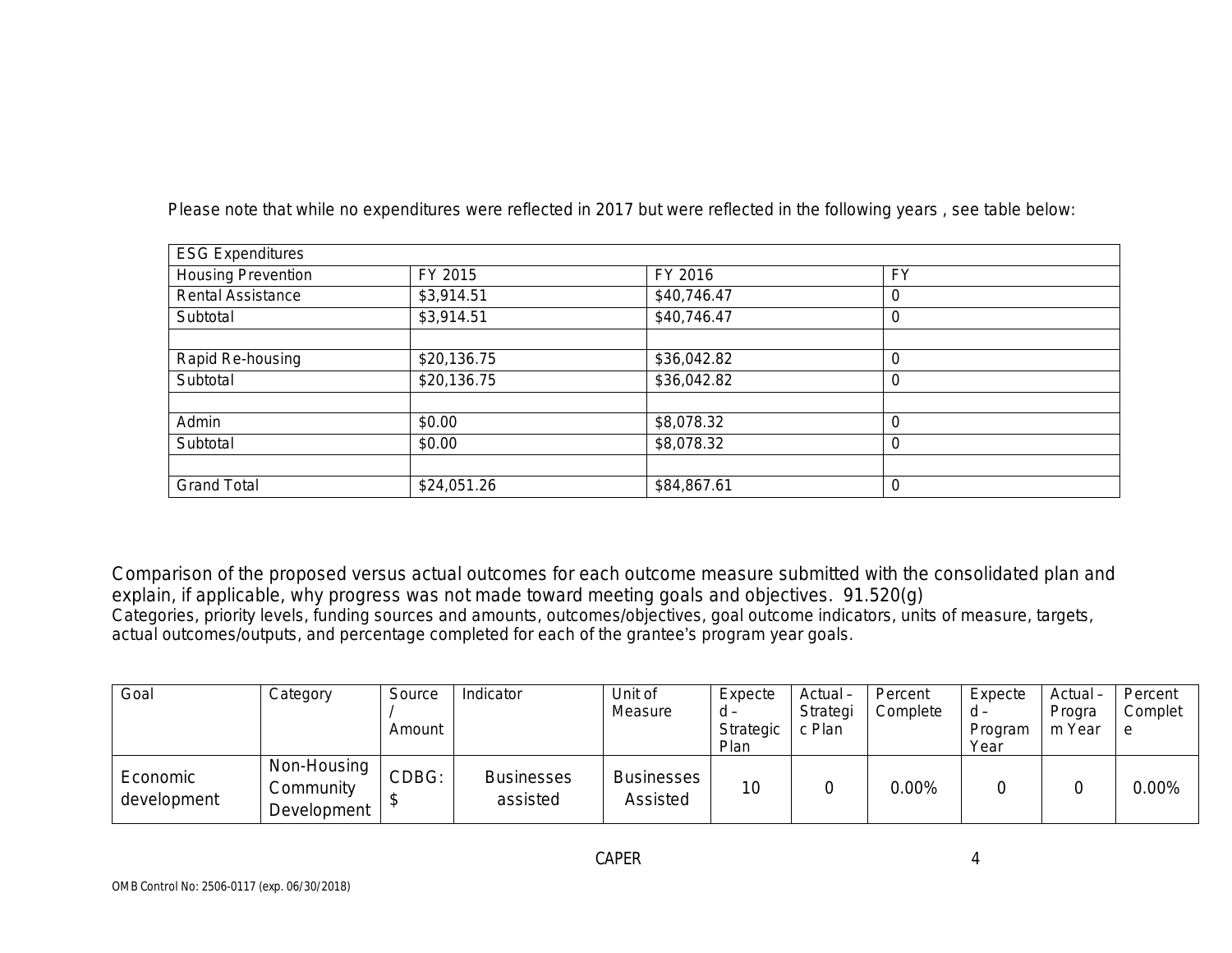| <b>ESG Expenditures</b>   |             |             |           |  |
|---------------------------|-------------|-------------|-----------|--|
| <b>Housing Prevention</b> | FY 2015     | FY 2016     | <b>FY</b> |  |
| Rental Assistance         | \$3,914.51  | \$40,746.47 |           |  |
| Subtotal                  | \$3,914.51  | \$40,746.47 |           |  |
|                           |             |             |           |  |
| Rapid Re-housing          | \$20,136.75 | \$36,042.82 |           |  |
| Subtotal                  | \$20,136.75 | \$36,042.82 |           |  |
|                           |             |             |           |  |
| Admin                     | \$0.00      | \$8,078.32  |           |  |
| Subtotal                  | \$0.00      | \$8,078.32  |           |  |
|                           |             |             |           |  |
| <b>Grand Total</b>        | \$24,051.26 | \$84,867.61 |           |  |

Please note that while no expenditures were reflected in 2017 but were reflected in the following years , see table below:

Comparison of the proposed versus actual outcomes for each outcome measure submitted with the consolidated plan and explain, if applicable, why progress was not made toward meeting goals and objectives. 91.520(g) Categories, priority levels, funding sources and amounts, outcomes/objectives, goal outcome indicators, units of measure, targets, actual outcomes/outputs, and percentage completed for each of the grantee's program year goals.

| Goal                    | Category                                | Source<br>Amount | Indicator                     | Unit of<br>Measure            | Expecte<br>d -<br>Strategic<br>Plan | Actual-<br>Strategi<br>c Plan | Percent<br>Complete | Expecte<br>d -<br>Program<br>Year | Actual-<br>Progra<br>m Year | Percent<br>Complet<br>e |
|-------------------------|-----------------------------------------|------------------|-------------------------------|-------------------------------|-------------------------------------|-------------------------------|---------------------|-----------------------------------|-----------------------------|-------------------------|
| Economic<br>development | Non-Housing<br>Community<br>Development | CDBG:            | <b>Businesses</b><br>assisted | <b>Businesses</b><br>Assisted | 10                                  |                               | $0.00\%$            |                                   |                             | $0.00\%$                |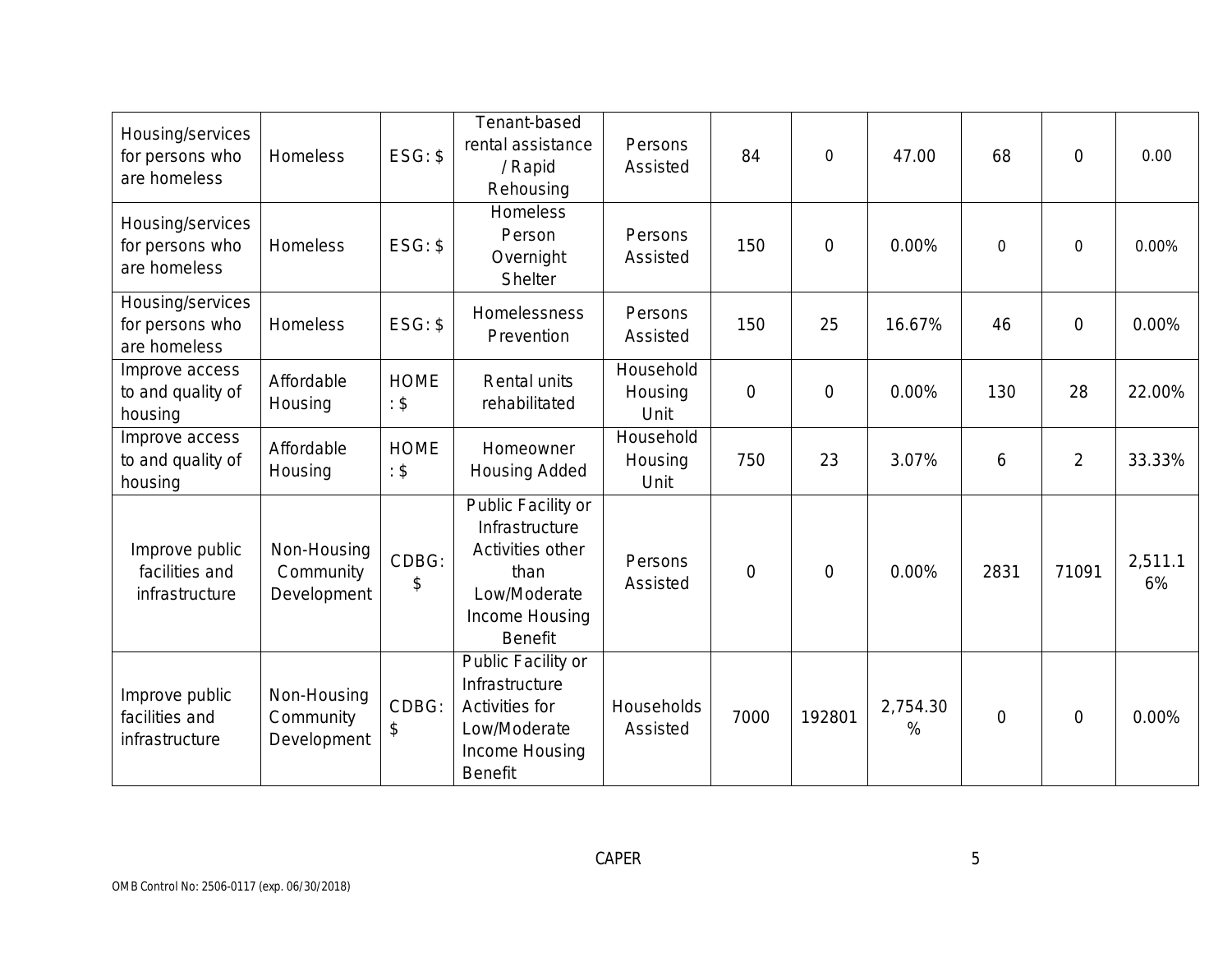| Housing/services<br>for persons who<br>are homeless | Homeless                                | $ESG:$ \$           | Tenant-based<br>rental assistance<br>/ Rapid<br>Rehousing                                                            | Persons<br>Assisted          | 84             | $\overline{0}$ | 47.00         | 68             | $\mathbf 0$    | 0.00          |
|-----------------------------------------------------|-----------------------------------------|---------------------|----------------------------------------------------------------------------------------------------------------------|------------------------------|----------------|----------------|---------------|----------------|----------------|---------------|
| Housing/services<br>for persons who<br>are homeless | Homeless                                | $ESG:$ \$           | Homeless<br>Person<br>Overnight<br>Shelter                                                                           | Persons<br>Assisted          | 150            | $\overline{0}$ | 0.00%         | $\mathbf 0$    | $\mathbf 0$    | 0.00%         |
| Housing/services<br>for persons who<br>are homeless | Homeless                                | $ESG:$ \$           | Homelessness<br>Prevention                                                                                           | Persons<br>Assisted          | 150            | 25             | 16.67%        | 46             | $\overline{0}$ | 0.00%         |
| Improve access<br>to and quality of<br>housing      | Affordable<br>Housing                   | <b>HOME</b><br>: \$ | Rental units<br>rehabilitated                                                                                        | Household<br>Housing<br>Unit | $\overline{0}$ | $\overline{0}$ | 0.00%         | 130            | 28             | 22.00%        |
| Improve access<br>to and quality of<br>housing      | Affordable<br>Housing                   | <b>HOME</b><br>: \$ | Homeowner<br>Housing Added                                                                                           | Household<br>Housing<br>Unit | 750            | 23             | 3.07%         | 6              | $\overline{2}$ | 33.33%        |
| Improve public<br>facilities and<br>infrastructure  | Non-Housing<br>Community<br>Development | CDBG:<br>\$         | Public Facility or<br>Infrastructure<br>Activities other<br>than<br>Low/Moderate<br>Income Housing<br><b>Benefit</b> | Persons<br>Assisted          | $\overline{0}$ | $\overline{0}$ | 0.00%         | 2831           | 71091          | 2,511.1<br>6% |
| Improve public<br>facilities and<br>infrastructure  | Non-Housing<br>Community<br>Development | CDBG:<br>\$         | Public Facility or<br>Infrastructure<br>Activities for<br>Low/Moderate<br>Income Housing<br><b>Benefit</b>           | Households<br>Assisted       | 7000           | 192801         | 2,754.30<br>% | $\overline{0}$ | $\overline{0}$ | 0.00%         |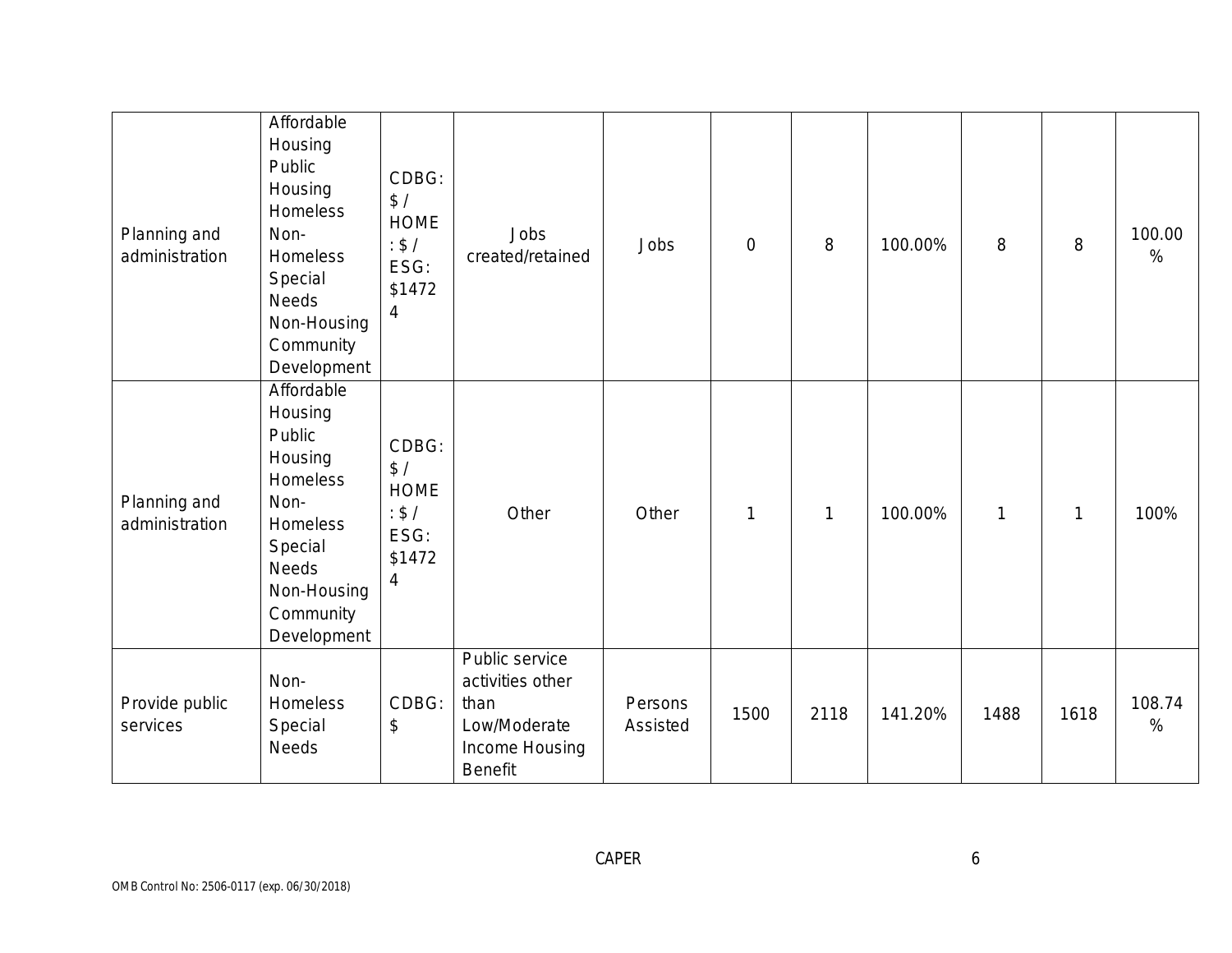| Planning and<br>administration | Affordable<br>Housing<br>Public<br>Housing<br>Homeless<br>Non-<br>Homeless<br>Special<br><b>Needs</b><br>Non-Housing<br>Community<br>Development | CDBG:<br>\$/<br><b>HOME</b><br>: $$/$<br>ESG:<br>\$1472<br>$\overline{4}$ | Jobs<br>created/retained                                                                | Jobs                | $\overline{0}$ | 8    | 100.00% | 8            | 8            | 100.00<br>$\%$ |
|--------------------------------|--------------------------------------------------------------------------------------------------------------------------------------------------|---------------------------------------------------------------------------|-----------------------------------------------------------------------------------------|---------------------|----------------|------|---------|--------------|--------------|----------------|
| Planning and<br>administration | Affordable<br>Housing<br>Public<br>Housing<br>Homeless<br>Non-<br>Homeless<br>Special<br>Needs<br>Non-Housing<br>Community<br>Development        | CDBG:<br>\$/<br><b>HOME</b><br>: \$/<br>ESG:<br>\$1472<br>4               | Other                                                                                   | Other               | $\mathbf{1}$   | 1    | 100.00% | $\mathbf{1}$ | $\mathbf{1}$ | 100%           |
| Provide public<br>services     | Non-<br>Homeless<br>Special<br><b>Needs</b>                                                                                                      | CDBG:<br>$\boldsymbol{\mathsf{S}}$                                        | Public service<br>activities other<br>than<br>Low/Moderate<br>Income Housing<br>Benefit | Persons<br>Assisted | 1500           | 2118 | 141.20% | 1488         | 1618         | 108.74<br>$\%$ |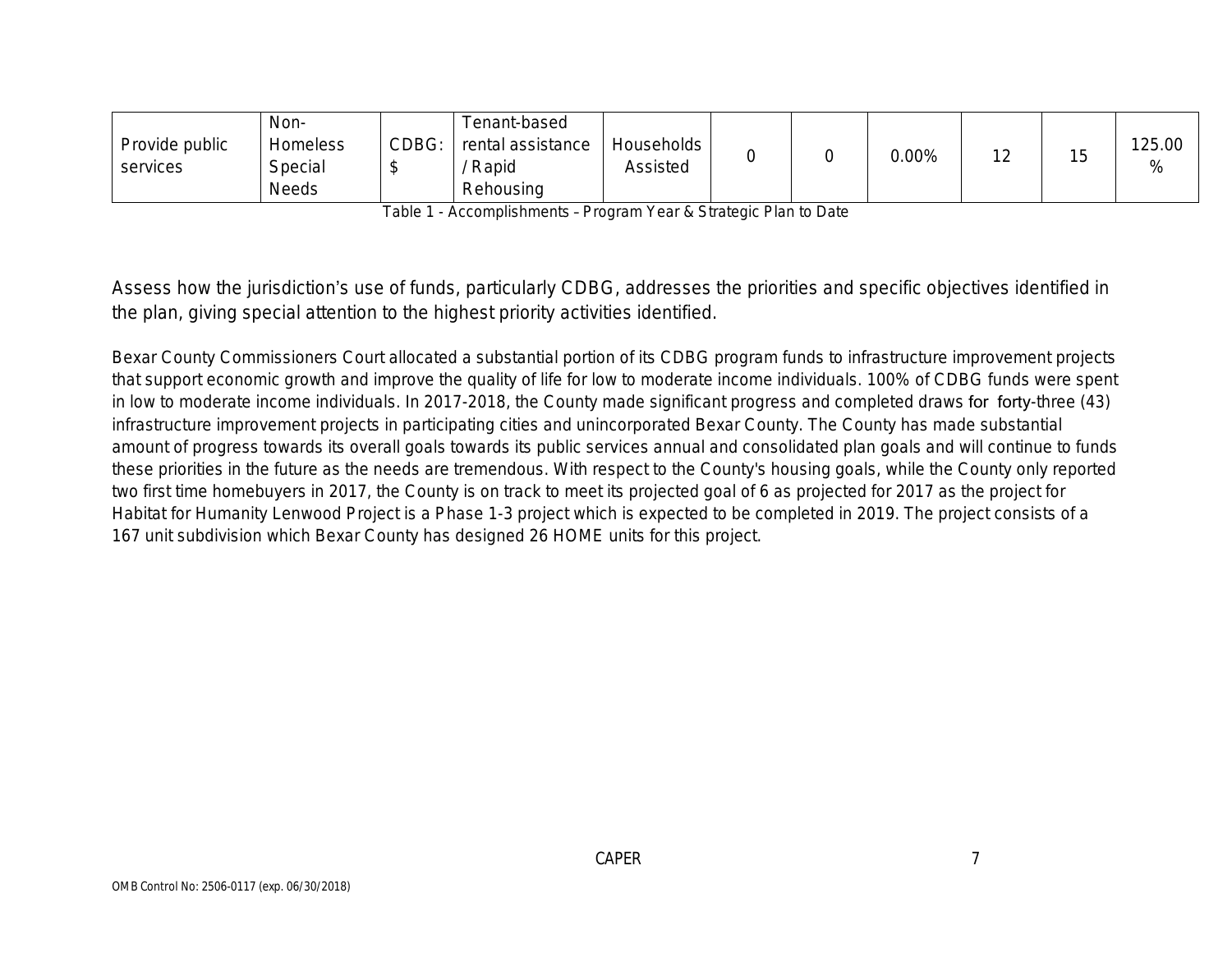|                | Non-         |       | Tenant-based      |            |  |          |  |        |
|----------------|--------------|-------|-------------------|------------|--|----------|--|--------|
| Provide public | Homeless     | CDBG: | rental assistance | Households |  | $0.00\%$ |  | 125.00 |
| services       | Special      |       | Rapid             | Assisted   |  |          |  | %      |
|                | <b>Needs</b> |       | Rehousing         |            |  |          |  |        |

Table 1 - Accomplishments – Program Year & Strategic Plan to Date

Assess how the jurisdiction's use of funds, particularly CDBG, addresses the priorities and specific objectives identified in the plan, giving special attention to the highest priority activities identified.

Bexar County Commissioners Court allocated a substantial portion of its CDBG program funds to infrastructure improvement projects that support economic growth and improve the quality of life for low to moderate income individuals. 100% of CDBG funds were spent in low to moderate income individuals. In 2017-2018, the County made significant progress and completed draws for forty-three (43) infrastructure improvement projects in participating cities and unincorporated Bexar County. The County has made substantial amount of progress towards its overall goals towards its public services annual and consolidated plan goals and will continue to funds these priorities in the future as the needs are tremendous. With respect to the County's housing goals, while the County only reported two first time homebuyers in 2017, the County is on track to meet its projected goal of 6 as projected for 2017 as the project for Habitat for Humanity Lenwood Project is a Phase 1-3 project which is expected to be completed in 2019. The project consists of a 167 unit subdivision which Bexar County has designed 26 HOME units for this project.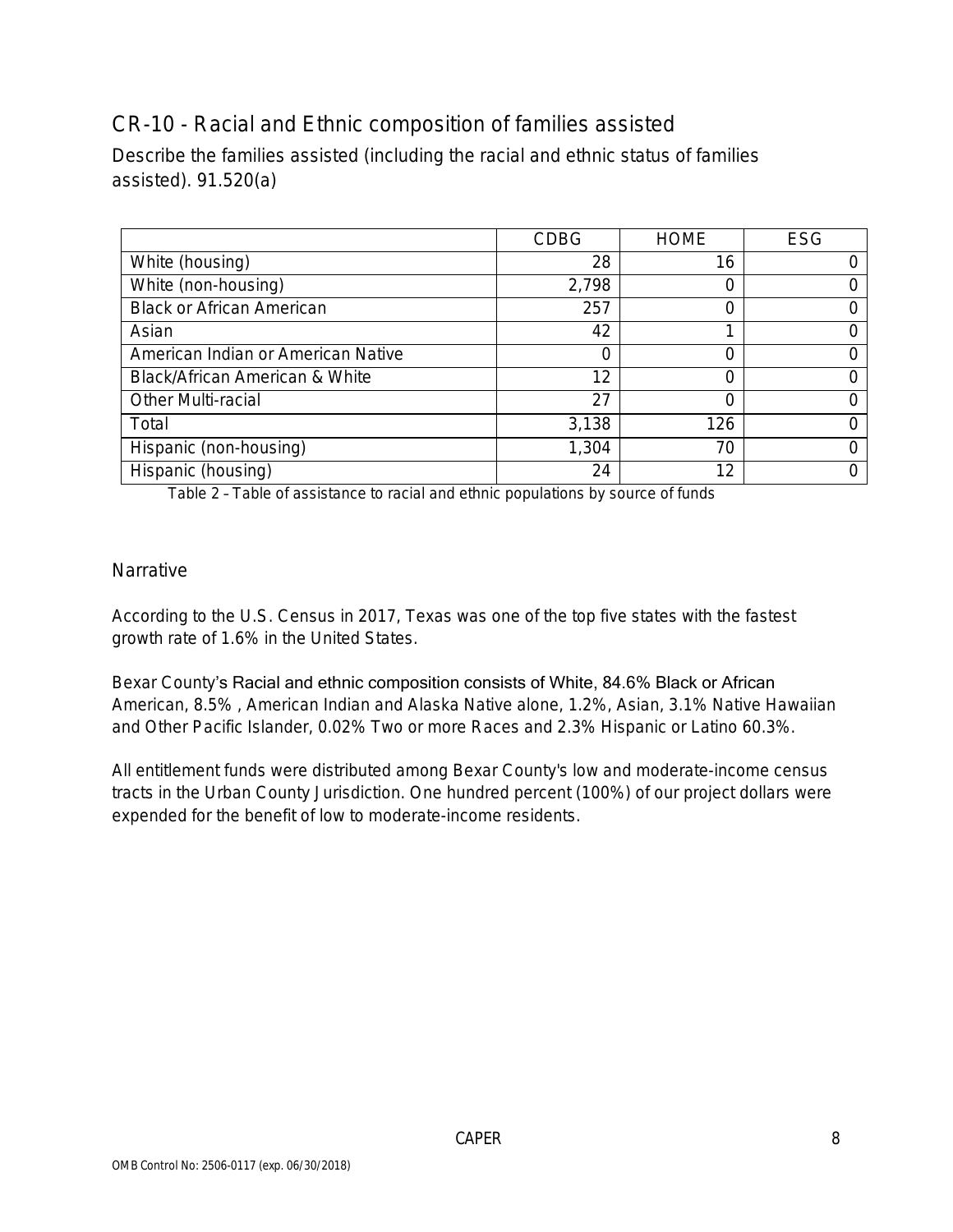## CR-10 - Racial and Ethnic composition of families assisted

Describe the families assisted (including the racial and ethnic status of families assisted). 91.520(a)

|                                    | <b>CDBG</b> | <b>HOME</b> | <b>ESG</b> |
|------------------------------------|-------------|-------------|------------|
| White (housing)                    | 28          | 16          |            |
| White (non-housing)                | 2,798       |             |            |
| <b>Black or African American</b>   | 257         |             |            |
| Asian                              | 42          |             |            |
| American Indian or American Native | O           |             |            |
| Black/African American & White     | 12          |             |            |
| <b>Other Multi-racial</b>          | 27          |             |            |
| Total                              | 3,138       | 126         |            |
| Hispanic (non-housing)             | 1,304       | 70          |            |
| Hispanic (housing)                 | 24          | 12          |            |

Table 2 – Table of assistance to racial and ethnic populations by source of funds

### Narrative

According to the U.S. Census in 2017, Texas was one of the top five states with the fastest growth rate of 1.6% in the United States.

Bexar County's Racial and ethnic composition consists of White, 84.6% Black or African American, 8.5% , American Indian and Alaska Native alone, 1.2%, Asian, 3.1% Native Hawaiian and Other Pacific Islander, 0.02% Two or more Races and 2.3% Hispanic or Latino 60.3%.

All entitlement funds were distributed among Bexar County's low and moderate-income census tracts in the Urban County Jurisdiction. One hundred percent (100%) of our project dollars were expended for the benefit of low to moderate-income residents.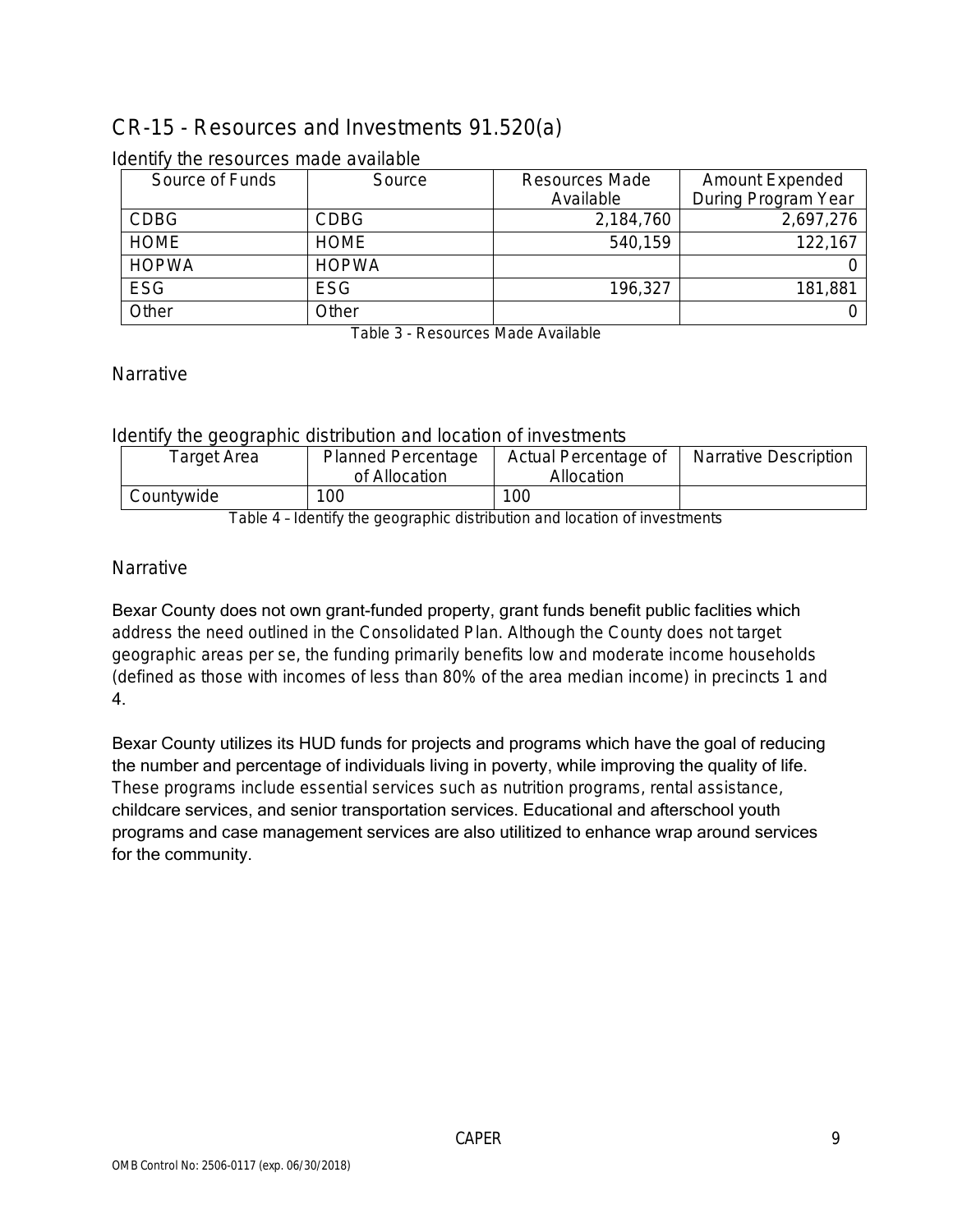# CR-15 - Resources and Investments 91.520(a)

| Source of Funds | Source       | Resources Made | Amount Expended     |
|-----------------|--------------|----------------|---------------------|
|                 |              | Available      | During Program Year |
| <b>CDBG</b>     | <b>CDBG</b>  | 2,184,760      | 2,697,276           |
| <b>HOME</b>     | <b>HOME</b>  | 540,159        | 122,167             |
| <b>HOPWA</b>    | <b>HOPWA</b> |                |                     |
| <b>ESG</b>      | ESG          | 196,327        | 181,881             |
| Other           | Other        |                |                     |

#### Identify the resources made available

Table 3 - Resources Made Available

### **Narrative**

### Identify the geographic distribution and location of investments

| Target Area | <b>Planned Percentage</b> | Actual Percentage of | <b>Narrative Description</b> |
|-------------|---------------------------|----------------------|------------------------------|
|             | of Allocation             | Allocation           |                              |
| Countywide  | 100                       | 100                  |                              |

Table 4 – Identify the geographic distribution and location of investments

### **Narrative**

Bexar County does not own grant-funded property, grant funds benefit public faclities which address the need outlined in the Consolidated Plan. Although the County does not target geographic areas per se, the funding primarily benefits low and moderate income households (defined as those with incomes of less than 80% of the area median income) in precincts 1 and 4.

Bexar County utilizes its HUD funds for projects and programs which have the goal of reducing the number and percentage of individuals living in poverty, while improving the quality of life. These programs include essential services such as nutrition programs, rental assistance, childcare services, and senior transportation services. Educational and afterschool youth programs and case management services are also utilitized to enhance wrap around services for the community.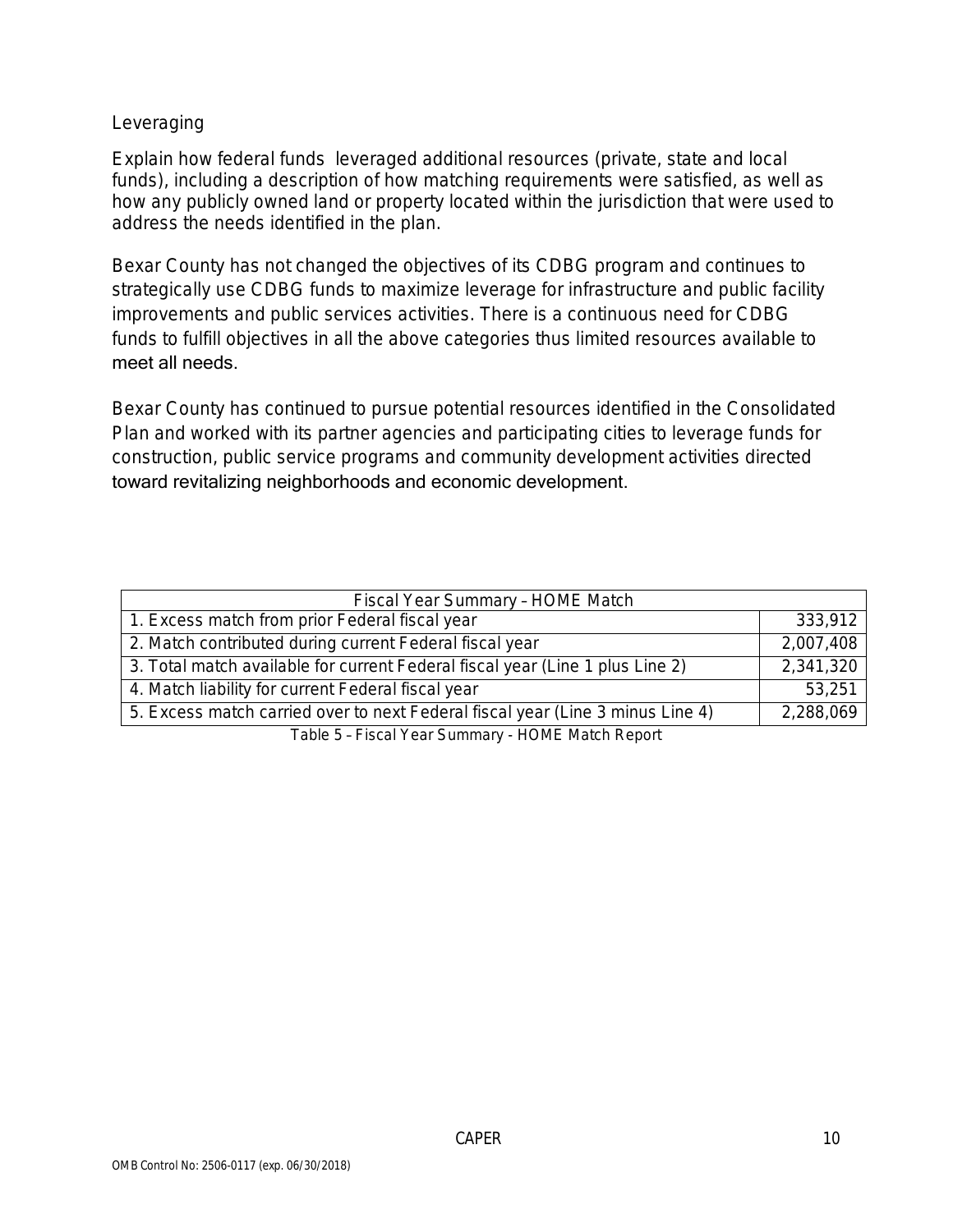### Leveraging

Explain how federal funds leveraged additional resources (private, state and local funds), including a description of how matching requirements were satisfied, as well as how any publicly owned land or property located within the jurisdiction that were used to address the needs identified in the plan.

Bexar County has not changed the objectives of its CDBG program and continues to strategically use CDBG funds to maximize leverage for infrastructure and public facility improvements and public services activities. There is a continuous need for CDBG funds to fulfill objectives in all the above categories thus limited resources available to meet all needs.

Bexar County has continued to pursue potential resources identified in the Consolidated Plan and worked with its partner agencies and participating cities to leverage funds for construction, public service programs and community development activities directed toward revitalizing neighborhoods and economic development.

| Fiscal Year Summary - HOME Match                                               |           |
|--------------------------------------------------------------------------------|-----------|
| 1. Excess match from prior Federal fiscal year                                 | 333,912   |
| 2. Match contributed during current Federal fiscal year                        | 2,007,408 |
| 3. Total match available for current Federal fiscal year (Line 1 plus Line 2)  | 2,341,320 |
| 4. Match liability for current Federal fiscal year                             | 53,251    |
| 5. Excess match carried over to next Federal fiscal year (Line 3 minus Line 4) | 2,288,069 |
| Table 5 - Fiscal Year Summary - HOME Match Report                              |           |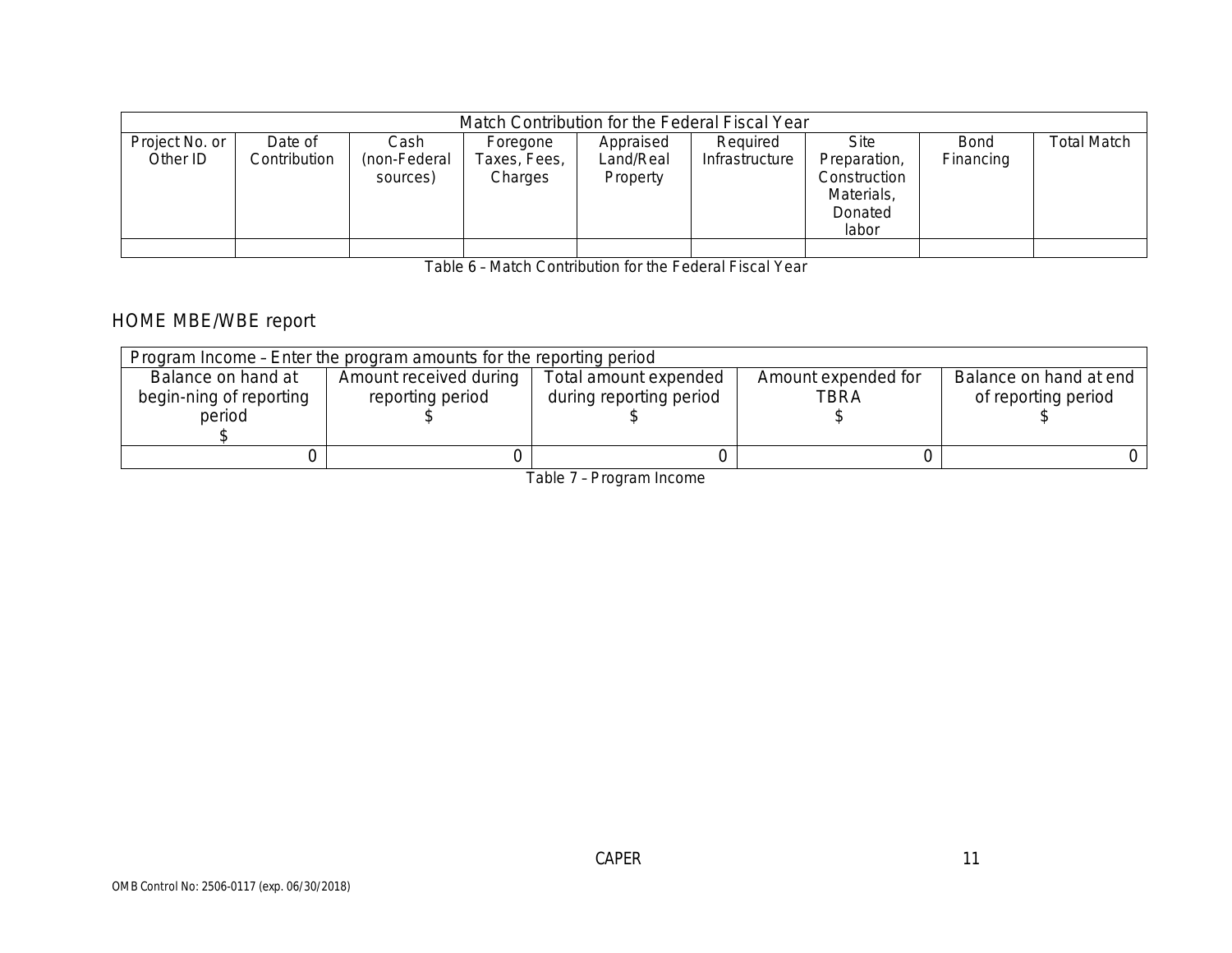|                            | Match Contribution for the Federal Fiscal Year |                                  |                                     |                                    |                            |                                                                      |                          |             |  |  |
|----------------------------|------------------------------------------------|----------------------------------|-------------------------------------|------------------------------------|----------------------------|----------------------------------------------------------------------|--------------------------|-------------|--|--|
| Project No. or<br>Other ID | Date of<br>Contribution                        | Cash<br>(non-Federal<br>sources) | Foregone<br>Taxes, Fees,<br>Charges | Appraised<br>Land/Real<br>Property | Required<br>Infrastructure | <b>Site</b><br>Preparation,<br>Construction<br>Materials,<br>Donated | <b>Bond</b><br>Financing | Total Match |  |  |
|                            |                                                |                                  |                                     |                                    |                            | labor                                                                |                          |             |  |  |

Table 6 – Match Contribution for the Federal Fiscal Year

## HOME MBE/WBE report

| Program Income - Enter the program amounts for the reporting period |                        |                         |                     |                        |  |  |  |  |
|---------------------------------------------------------------------|------------------------|-------------------------|---------------------|------------------------|--|--|--|--|
| Balance on hand at                                                  | Amount received during | Total amount expended   | Amount expended for | Balance on hand at end |  |  |  |  |
| begin-ning of reporting                                             | reporting period       | during reporting period | TBRA                | of reporting period    |  |  |  |  |
| period                                                              |                        |                         |                     |                        |  |  |  |  |
|                                                                     |                        |                         |                     |                        |  |  |  |  |
|                                                                     |                        |                         |                     |                        |  |  |  |  |
|                                                                     |                        |                         |                     |                        |  |  |  |  |

Table 7 – Program Income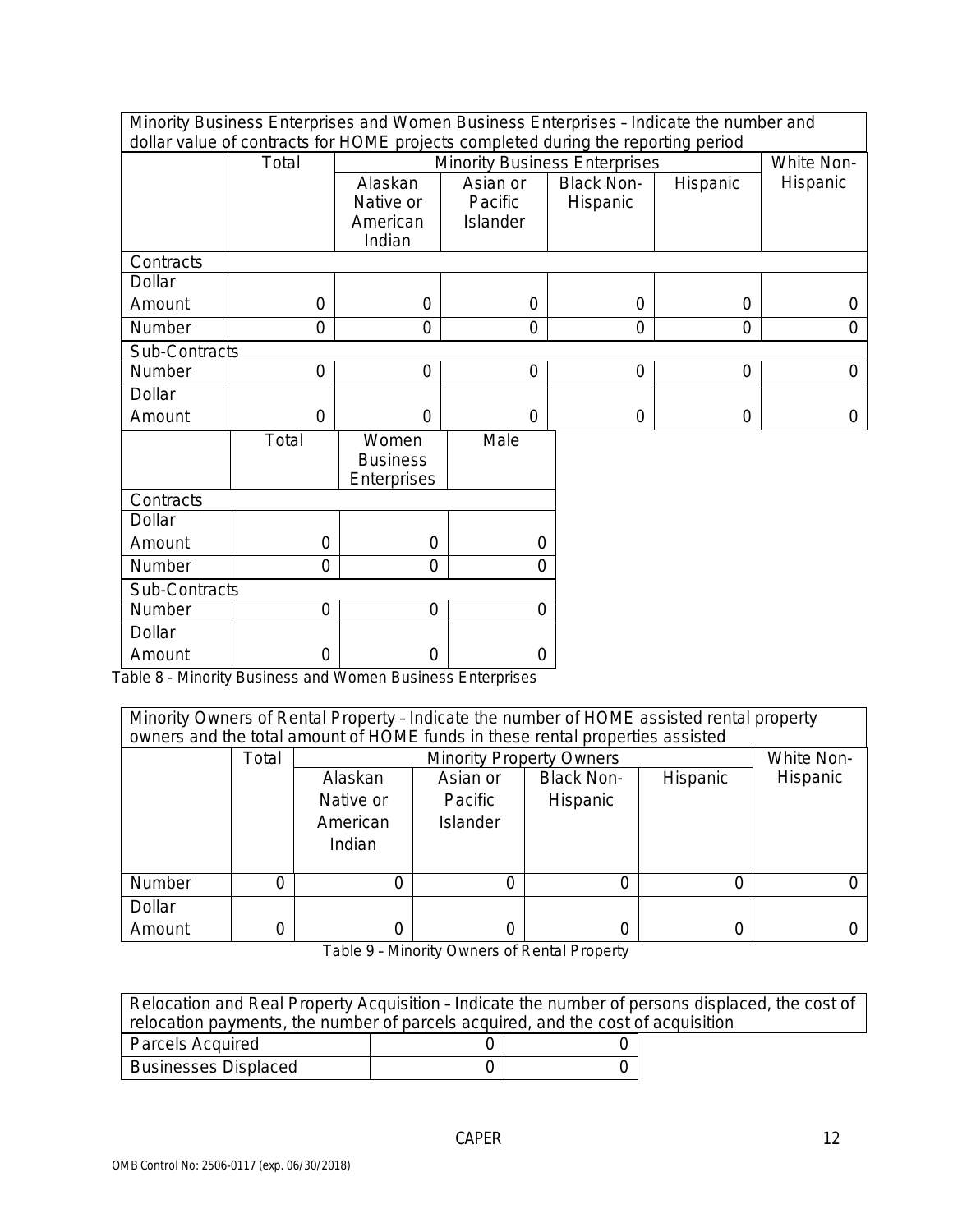Minority Business Enterprises and Women Business Enterprises – Indicate the number and dollar value of contracts for HOME projects completed during the reporting period

|               | Total          |                 | abilar value or contracts for Frontic projects completed during the reporting period.<br><b>Minority Business Enterprises</b> |                   |                |                        |  |
|---------------|----------------|-----------------|-------------------------------------------------------------------------------------------------------------------------------|-------------------|----------------|------------------------|--|
|               |                | Alaskan         | Asian or                                                                                                                      | <b>Black Non-</b> | Hispanic       | White Non-<br>Hispanic |  |
|               |                | Native or       | Pacific                                                                                                                       | Hispanic          |                |                        |  |
|               |                | American        | <b>Islander</b>                                                                                                               |                   |                |                        |  |
|               |                | Indian          |                                                                                                                               |                   |                |                        |  |
| Contracts     |                |                 |                                                                                                                               |                   |                |                        |  |
| Dollar        |                |                 |                                                                                                                               |                   |                |                        |  |
| Amount        | 0              | $\overline{0}$  | $\overline{0}$                                                                                                                | $\overline{0}$    | $\overline{0}$ | $\Omega$               |  |
| Number        | $\overline{0}$ | $\overline{0}$  | $\overline{0}$                                                                                                                | $\overline{0}$    | $\overline{0}$ | $\overline{0}$         |  |
| Sub-Contracts |                |                 |                                                                                                                               |                   |                |                        |  |
| Number        | 0              | $\overline{0}$  | $\Omega$                                                                                                                      | $\overline{0}$    | $\overline{0}$ | $\overline{O}$         |  |
| Dollar        |                |                 |                                                                                                                               |                   |                |                        |  |
| Amount        | 0              | $\overline{0}$  | $\overline{0}$                                                                                                                | $\boldsymbol{0}$  | $\overline{0}$ | $\overline{O}$         |  |
|               | Total          | Women           | Male                                                                                                                          |                   |                |                        |  |
|               |                | <b>Business</b> |                                                                                                                               |                   |                |                        |  |
|               |                | Enterprises     |                                                                                                                               |                   |                |                        |  |
| Contracts     |                |                 |                                                                                                                               |                   |                |                        |  |
| Dollar        |                |                 |                                                                                                                               |                   |                |                        |  |
| Amount        | $\overline{0}$ | $\overline{0}$  | 0                                                                                                                             |                   |                |                        |  |
| Number        | $\overline{0}$ | $\Omega$        | $\overline{0}$                                                                                                                |                   |                |                        |  |
| Sub-Contracts |                |                 |                                                                                                                               |                   |                |                        |  |
| Number        | $\overline{0}$ | $\overline{0}$  | $\overline{0}$                                                                                                                |                   |                |                        |  |
| Dollar        |                |                 |                                                                                                                               |                   |                |                        |  |
| Amount        | $\mathbf 0$    | $\overline{0}$  | $\boldsymbol{0}$                                                                                                              |                   |                |                        |  |

Table 8 - Minority Business and Women Business Enterprises

| Minority Owners of Rental Property - Indicate the number of HOME assisted rental property<br>owners and the total amount of HOME funds in these rental properties assisted |          |           |                                                  |          |          |  |
|----------------------------------------------------------------------------------------------------------------------------------------------------------------------------|----------|-----------|--------------------------------------------------|----------|----------|--|
|                                                                                                                                                                            | Total    |           | White Non-<br><b>Minority Property Owners</b>    |          |          |  |
|                                                                                                                                                                            |          | Alaskan   | <b>Black Non-</b><br>Asian or<br><b>Hispanic</b> |          |          |  |
|                                                                                                                                                                            |          | Native or | Pacific                                          | Hispanic |          |  |
|                                                                                                                                                                            |          | American  | <b>Islander</b>                                  |          |          |  |
|                                                                                                                                                                            |          | Indian    |                                                  |          |          |  |
| <b>Number</b>                                                                                                                                                              | $\Omega$ | 0         |                                                  | O        | $\Omega$ |  |
| Dollar                                                                                                                                                                     |          |           |                                                  |          |          |  |
| Amount                                                                                                                                                                     | 0        | 0         |                                                  | 0        | 0        |  |

Table 9 – Minority Owners of Rental Property

| Relocation and Real Property Acquisition - Indicate the number of persons displaced, the cost of |  |  |  |  |  |
|--------------------------------------------------------------------------------------------------|--|--|--|--|--|
| relocation payments, the number of parcels acquired, and the cost of acquisition                 |  |  |  |  |  |
| Parcels Acquired                                                                                 |  |  |  |  |  |
| <b>Businesses Displaced</b>                                                                      |  |  |  |  |  |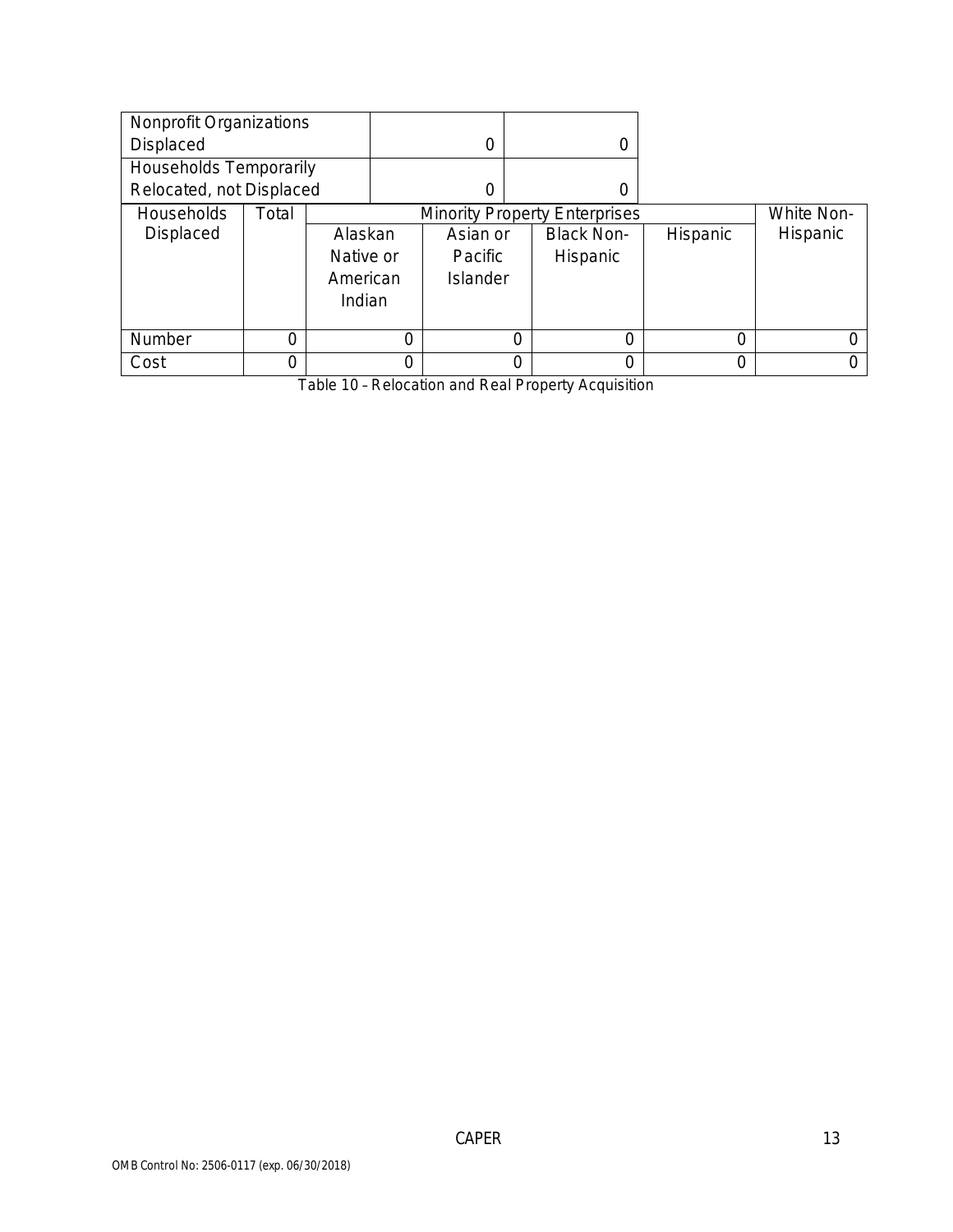| Nonprofit Organizations  |       |           |          |                                      |   |                   |                 |          |
|--------------------------|-------|-----------|----------|--------------------------------------|---|-------------------|-----------------|----------|
| Displaced                |       |           | $\Omega$ |                                      | 0 |                   |                 |          |
| Households Temporarily   |       |           |          |                                      |   |                   |                 |          |
| Relocated, not Displaced |       |           | 0        |                                      | 0 |                   |                 |          |
| Households               | Total |           |          | <b>Minority Property Enterprises</b> |   |                   | White Non-      |          |
| Displaced                |       | Alaskan   |          | Asian or                             |   | <b>Black Non-</b> | <b>Hispanic</b> | Hispanic |
|                          |       | Native or |          | <b>Pacific</b>                       |   | Hispanic          |                 |          |
|                          |       | American  |          | Islander                             |   |                   |                 |          |
| Indian                   |       |           |          |                                      |   |                   |                 |          |
|                          |       |           |          |                                      |   |                   |                 |          |
| Number                   | 0     |           | $\Omega$ |                                      | 0 |                   | 0               |          |
| Cost                     |       |           | $\Omega$ |                                      | 0 |                   | 0               |          |

Table 10 – Relocation and Real Property Acquisition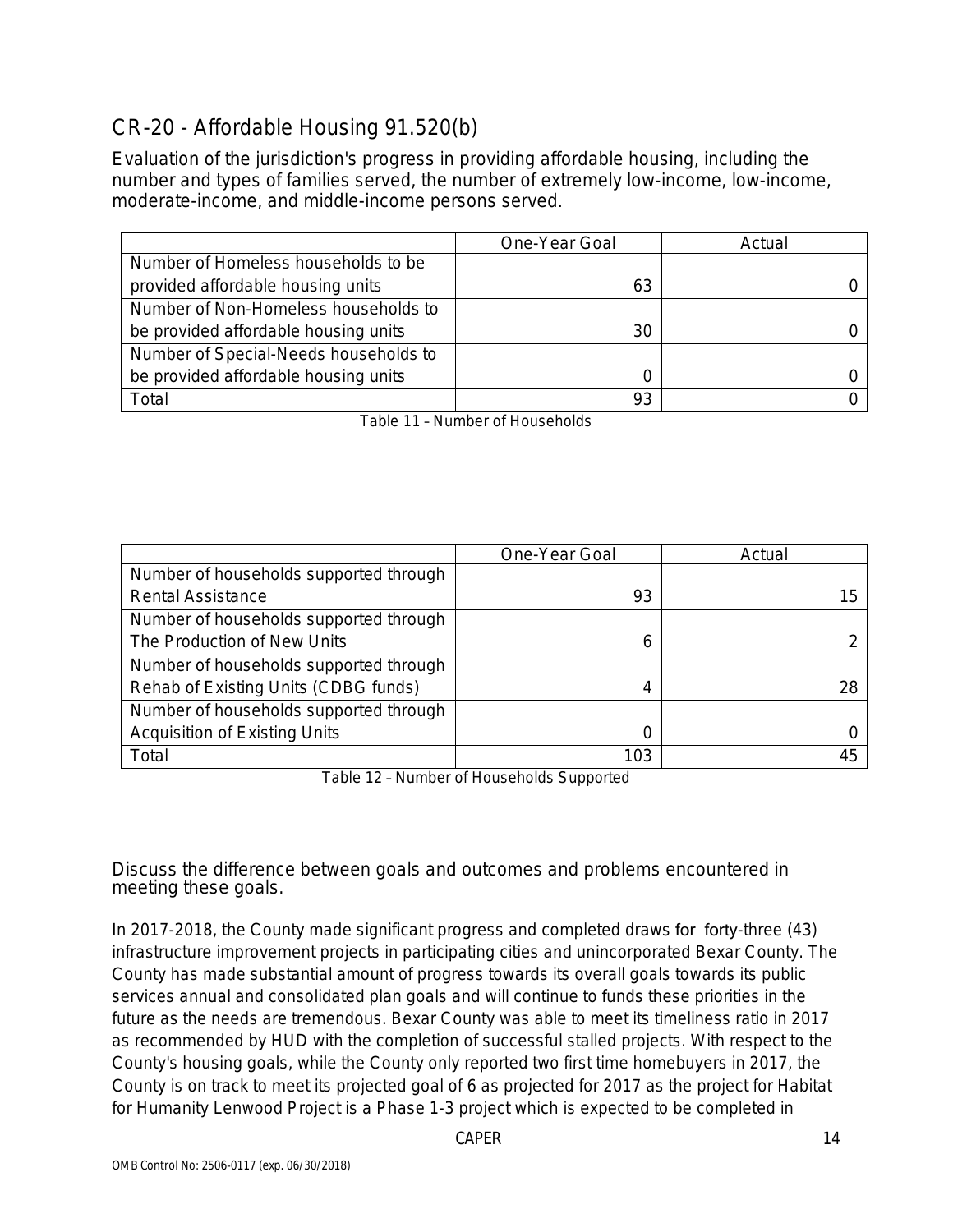# CR-20 - Affordable Housing 91.520(b)

Evaluation of the jurisdiction's progress in providing affordable housing, including the number and types of families served, the number of extremely low-income, low-income, moderate-income, and middle-income persons served.

|                                       | One-Year Goal | Actual |
|---------------------------------------|---------------|--------|
| Number of Homeless households to be   |               |        |
| provided affordable housing units     | 63            |        |
| Number of Non-Homeless households to  |               |        |
| be provided affordable housing units  | 30            |        |
| Number of Special-Needs households to |               |        |
| be provided affordable housing units  |               |        |
| Total                                 | 93            |        |

Table 11 – Number of Households

|                                        | One-Year Goal | Actual |
|----------------------------------------|---------------|--------|
| Number of households supported through |               |        |
| <b>Rental Assistance</b>               | 93            | ל.     |
| Number of households supported through |               |        |
| The Production of New Units            | b             |        |
| Number of households supported through |               |        |
| Rehab of Existing Units (CDBG funds)   | 4             |        |
| Number of households supported through |               |        |
| <b>Acquisition of Existing Units</b>   |               |        |
| Total                                  | 103           |        |

Table 12 – Number of Households Supported

Discuss the difference between goals and outcomes and problems encountered in meeting these goals.

In 2017-2018, the County made significant progress and completed draws for forty-three (43) infrastructure improvement projects in participating cities and unincorporated Bexar County. The County has made substantial amount of progress towards its overall goals towards its public services annual and consolidated plan goals and will continue to funds these priorities in the future as the needs are tremendous. Bexar County was able to meet its timeliness ratio in 2017 as recommended by HUD with the completion of successful stalled projects. With respect to the County's housing goals, while the County only reported two first time homebuyers in 2017, the County is on track to meet its projected goal of 6 as projected for 2017 as the project for Habitat for Humanity Lenwood Project is a Phase 1-3 project which is expected to be completed in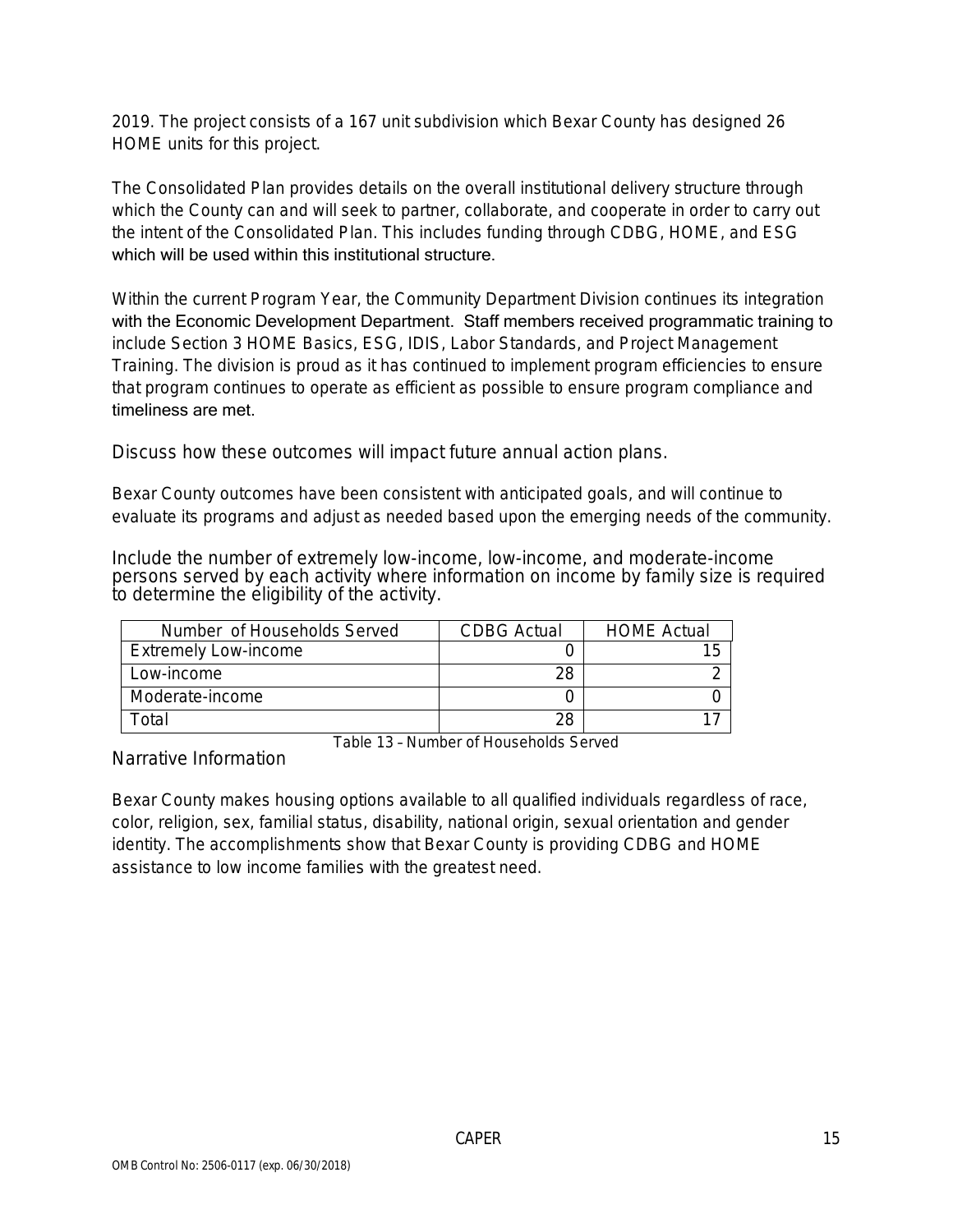2019. The project consists of a 167 unit subdivision which Bexar County has designed 26 HOME units for this project.

The Consolidated Plan provides details on the overall institutional delivery structure through which the County can and will seek to partner, collaborate, and cooperate in order to carry out the intent of the Consolidated Plan. This includes funding through CDBG, HOME, and ESG which will be used within this institutional structure.

Within the current Program Year, the Community Department Division continues its integration with the Economic Development Department. Staff members received programmatic training to include Section 3 HOME Basics, ESG, IDIS, Labor Standards, and Project Management Training. The division is proud as it has continued to implement program efficiencies to ensure that program continues to operate as efficient as possible to ensure program compliance and timeliness are met.

Discuss how these outcomes will impact future annual action plans.

Bexar County outcomes have been consistent with anticipated goals, and will continue to evaluate its programs and adjust as needed based upon the emerging needs of the community.

Include the number of extremely low-income, low-income, and moderate-income persons served by each activity where information on income by family size is required to determine the eligibility of the activity.

| Number of Households Served | <b>CDBG</b> Actual | <b>HOME Actual</b> |
|-----------------------------|--------------------|--------------------|
| <b>Extremely Low-income</b> |                    |                    |
| Low-income                  |                    |                    |
| Moderate-income             |                    |                    |
| Γ∩tal                       |                    |                    |

Narrative Information

Table 13 – Number of Households Served

Bexar County makes housing options available to all qualified individuals regardless of race, color, religion, sex, familial status, disability, national origin, sexual orientation and gender identity. The accomplishments show that Bexar County is providing CDBG and HOME assistance to low income families with the greatest need.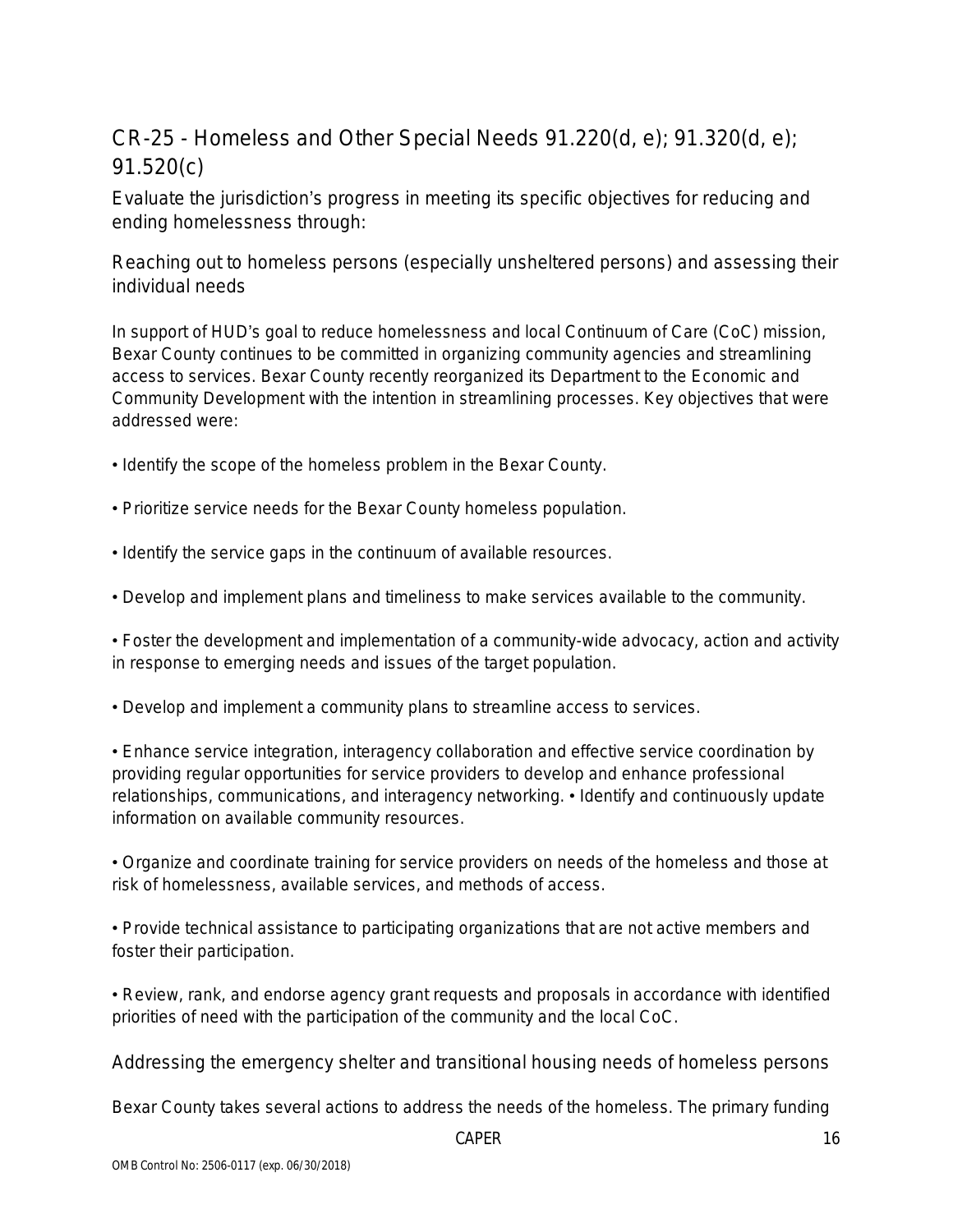# CR-25 - Homeless and Other Special Needs 91.220(d, e); 91.320(d, e); 91.520(c)

Evaluate the jurisdiction's progress in meeting its specific objectives for reducing and ending homelessness through:

Reaching out to homeless persons (especially unsheltered persons) and assessing their individual needs

In support of HUD's goal to reduce homelessness and local Continuum of Care (CoC) mission, Bexar County continues to be committed in organizing community agencies and streamlining access to services. Bexar County recently reorganized its Department to the Economic and Community Development with the intention in streamlining processes. Key objectives that were addressed were:

- Identify the scope of the homeless problem in the Bexar County.
- Prioritize service needs for the Bexar County homeless population.
- Identify the service gaps in the continuum of available resources.
- Develop and implement plans and timeliness to make services available to the community.

• Foster the development and implementation of a community-wide advocacy, action and activity in response to emerging needs and issues of the target population.

• Develop and implement a community plans to streamline access to services.

• Enhance service integration, interagency collaboration and effective service coordination by providing regular opportunities for service providers to develop and enhance professional relationships, communications, and interagency networking. • Identify and continuously update information on available community resources.

• Organize and coordinate training for service providers on needs of the homeless and those at risk of homelessness, available services, and methods of access.

• Provide technical assistance to participating organizations that are not active members and foster their participation.

• Review, rank, and endorse agency grant requests and proposals in accordance with identified priorities of need with the participation of the community and the local CoC.

Addressing the emergency shelter and transitional housing needs of homeless persons

Bexar County takes several actions to address the needs of the homeless. The primary funding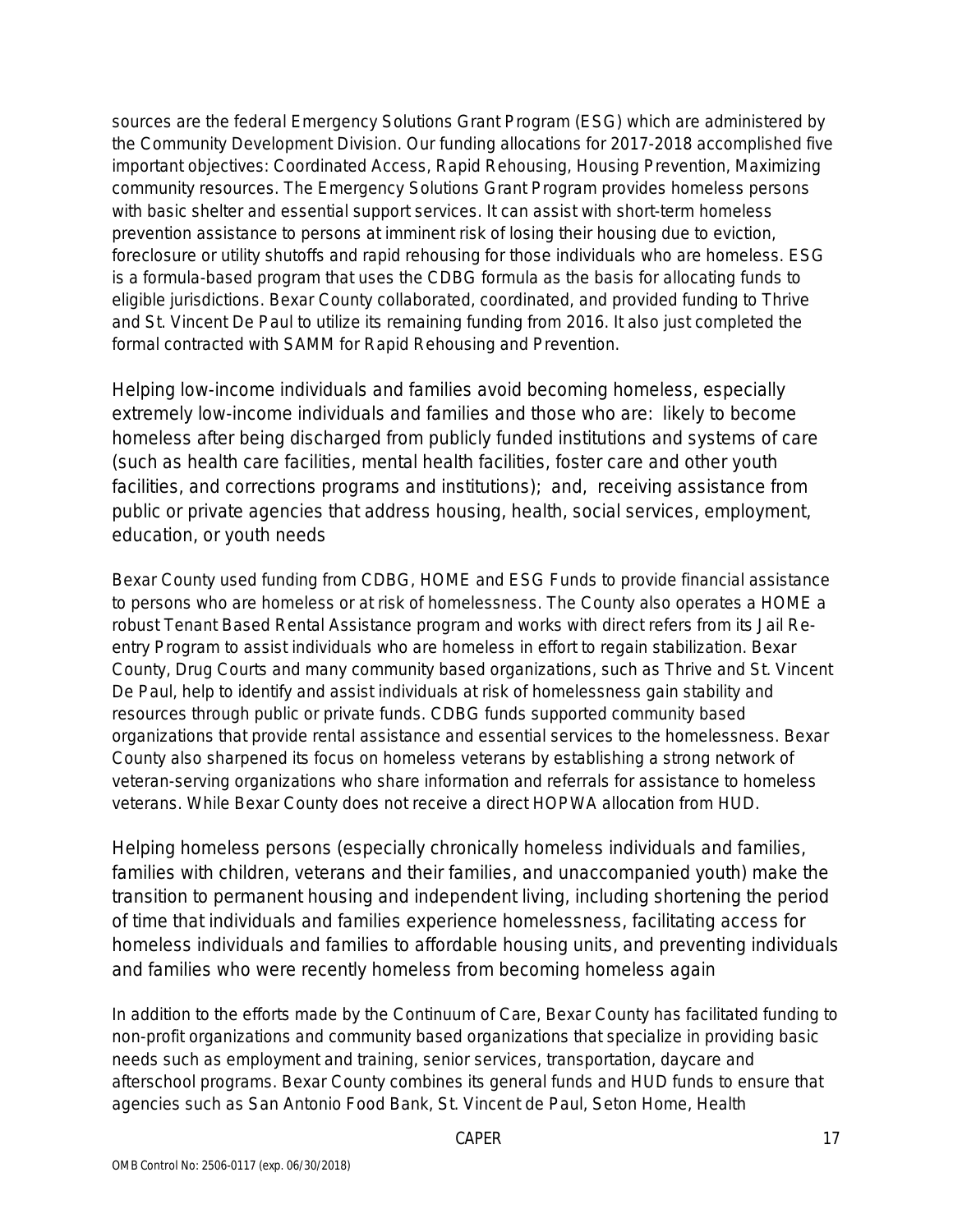sources are the federal Emergency Solutions Grant Program (ESG) which are administered by the Community Development Division. Our funding allocations for 2017-2018 accomplished five important objectives: Coordinated Access, Rapid Rehousing, Housing Prevention, Maximizing community resources. The Emergency Solutions Grant Program provides homeless persons with basic shelter and essential support services. It can assist with short-term homeless prevention assistance to persons at imminent risk of losing their housing due to eviction, foreclosure or utility shutoffs and rapid rehousing for those individuals who are homeless. ESG is a formula-based program that uses the CDBG formula as the basis for allocating funds to eligible jurisdictions. Bexar County collaborated, coordinated, and provided funding to Thrive and St. Vincent De Paul to utilize its remaining funding from 2016. It also just completed the formal contracted with SAMM for Rapid Rehousing and Prevention.

Helping low-income individuals and families avoid becoming homeless, especially extremely low-income individuals and families and those who are: likely to become homeless after being discharged from publicly funded institutions and systems of care (such as health care facilities, mental health facilities, foster care and other youth facilities, and corrections programs and institutions); and, receiving assistance from public or private agencies that address housing, health, social services, employment, education, or youth needs

Bexar County used funding from CDBG, HOME and ESG Funds to provide financial assistance to persons who are homeless or at risk of homelessness. The County also operates a HOME a robust Tenant Based Rental Assistance program and works with direct refers from its Jail Reentry Program to assist individuals who are homeless in effort to regain stabilization. Bexar County, Drug Courts and many community based organizations, such as Thrive and St. Vincent De Paul, help to identify and assist individuals at risk of homelessness gain stability and resources through public or private funds. CDBG funds supported community based organizations that provide rental assistance and essential services to the homelessness. Bexar County also sharpened its focus on homeless veterans by establishing a strong network of veteran-serving organizations who share information and referrals for assistance to homeless veterans. While Bexar County does not receive a direct HOPWA allocation from HUD.

Helping homeless persons (especially chronically homeless individuals and families, families with children, veterans and their families, and unaccompanied youth) make the transition to permanent housing and independent living, including shortening the period of time that individuals and families experience homelessness, facilitating access for homeless individuals and families to affordable housing units, and preventing individuals and families who were recently homeless from becoming homeless again

In addition to the efforts made by the Continuum of Care, Bexar County has facilitated funding to non-profit organizations and community based organizations that specialize in providing basic needs such as employment and training, senior services, transportation, daycare and afterschool programs. Bexar County combines its general funds and HUD funds to ensure that agencies such as San Antonio Food Bank, St. Vincent de Paul, Seton Home, Health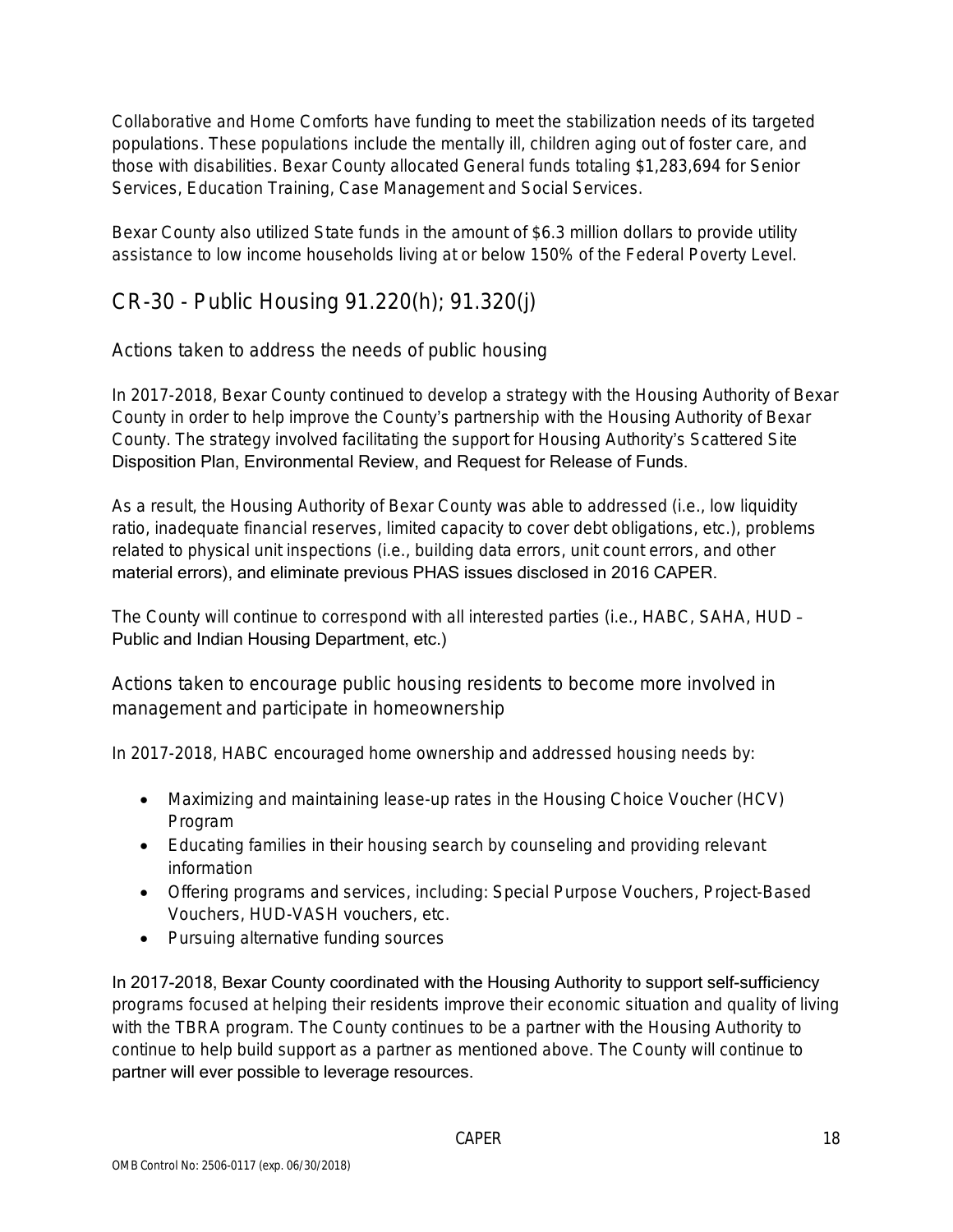Collaborative and Home Comforts have funding to meet the stabilization needs of its targeted populations. These populations include the mentally ill, children aging out of foster care, and those with disabilities. Bexar County allocated General funds totaling \$1,283,694 for Senior Services, Education Training, Case Management and Social Services.

Bexar County also utilized State funds in the amount of \$6.3 million dollars to provide utility assistance to low income households living at or below 150% of the Federal Poverty Level.

## CR-30 - Public Housing 91.220(h); 91.320(j)

Actions taken to address the needs of public housing

In 2017-2018, Bexar County continued to develop a strategy with the Housing Authority of Bexar County in order to help improve the County's partnership with the Housing Authority of Bexar County. The strategy involved facilitating the support for Housing Authority's Scattered Site Disposition Plan, Environmental Review, and Request for Release of Funds.

As a result, the Housing Authority of Bexar County was able to addressed (i.e., low liquidity ratio, inadequate financial reserves, limited capacity to cover debt obligations, etc.), problems related to physical unit inspections (i.e., building data errors, unit count errors, and other material errors), and eliminate previous PHAS issues disclosed in 2016 CAPER.

The County will continue to correspond with all interested parties (i.e., HABC, SAHA, HUD – Public and Indian Housing Department, etc.)

Actions taken to encourage public housing residents to become more involved in management and participate in homeownership

In 2017-2018, HABC encouraged home ownership and addressed housing needs by:

- Maximizing and maintaining lease-up rates in the Housing Choice Voucher (HCV) Program
- Educating families in their housing search by counseling and providing relevant information
- Offering programs and services, including: Special Purpose Vouchers, Project-Based Vouchers, HUD-VASH vouchers, etc.
- Pursuing alternative funding sources

In 2017-2018, Bexar County coordinated with the Housing Authority to support self-sufficiency programs focused at helping their residents improve their economic situation and quality of living with the TBRA program. The County continues to be a partner with the Housing Authority to continue to help build support as a partner as mentioned above. The County will continue to partner will ever possible to leverage resources.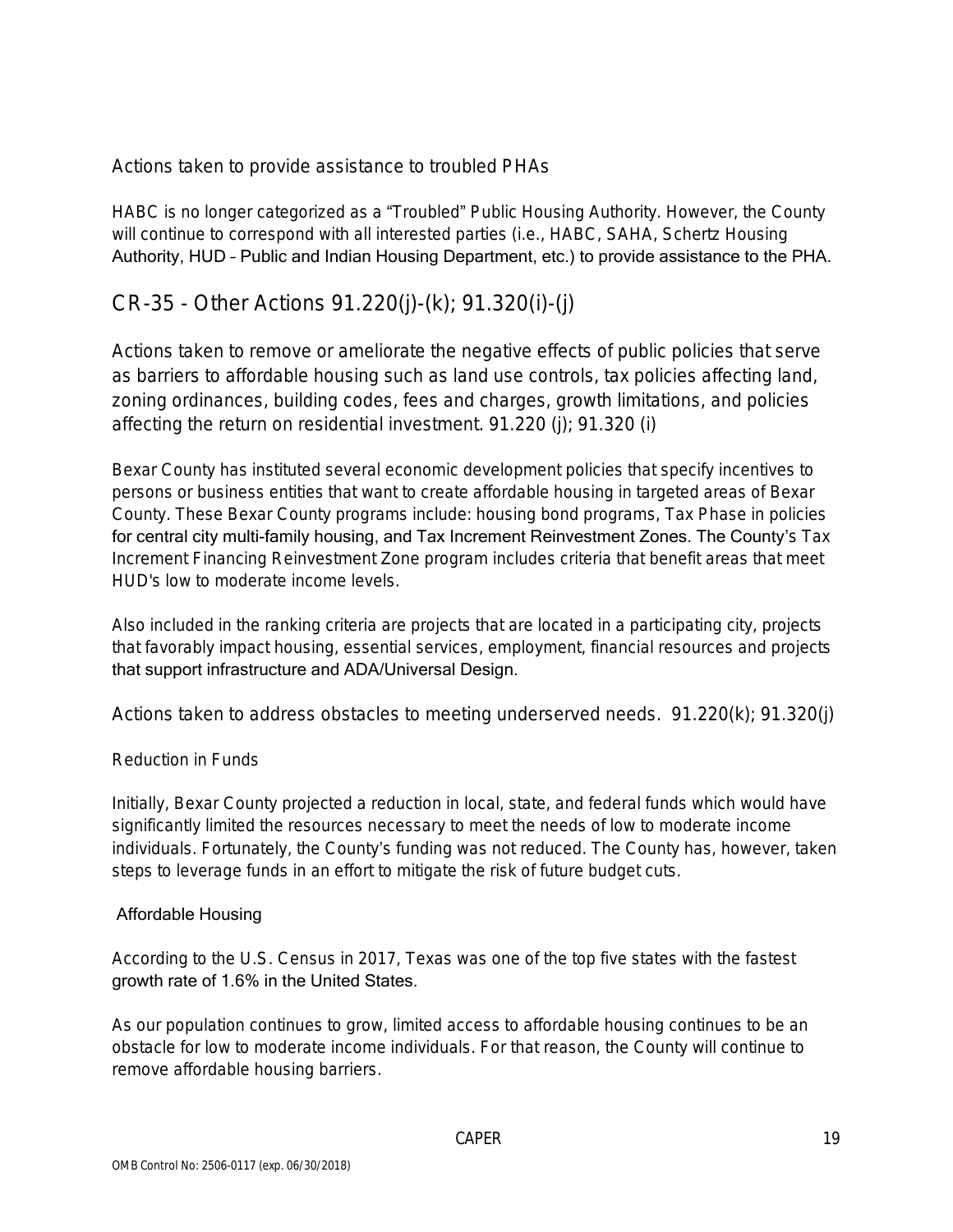Actions taken to provide assistance to troubled PHAs

HABC is no longer categorized as a "Troubled" Public Housing Authority. However, the County will continue to correspond with all interested parties (i.e., HABC, SAHA, Schertz Housing Authority, HUD – Public and Indian Housing Department, etc.) to provide assistance to the PHA.

### CR-35 - Other Actions 91.220(j)-(k); 91.320(i)-(j)

Actions taken to remove or ameliorate the negative effects of public policies that serve as barriers to affordable housing such as land use controls, tax policies affecting land, zoning ordinances, building codes, fees and charges, growth limitations, and policies affecting the return on residential investment. 91.220 (j); 91.320 (i)

Bexar County has instituted several economic development policies that specify incentives to persons or business entities that want to create affordable housing in targeted areas of Bexar County. These Bexar County programs include: housing bond programs, Tax Phase in policies for central city multi-family housing, and Tax Increment Reinvestment Zones. The County's Tax Increment Financing Reinvestment Zone program includes criteria that benefit areas that meet HUD's low to moderate income levels.

Also included in the ranking criteria are projects that are located in a participating city, projects that favorably impact housing, essential services, employment, financial resources and projects that support infrastructure and ADA/Universal Design.

Actions taken to address obstacles to meeting underserved needs. 91.220(k); 91.320(j)

### Reduction in Funds

Initially, Bexar County projected a reduction in local, state, and federal funds which would have significantly limited the resources necessary to meet the needs of low to moderate income individuals. Fortunately, the County's funding was not reduced. The County has, however, taken steps to leverage funds in an effort to mitigate the risk of future budget cuts.

### Affordable Housing

According to the U.S. Census in 2017, Texas was one of the top five states with the fastest growth rate of 1.6% in the United States.

As our population continues to grow, limited access to affordable housing continues to be an obstacle for low to moderate income individuals. For that reason, the County will continue to remove affordable housing barriers.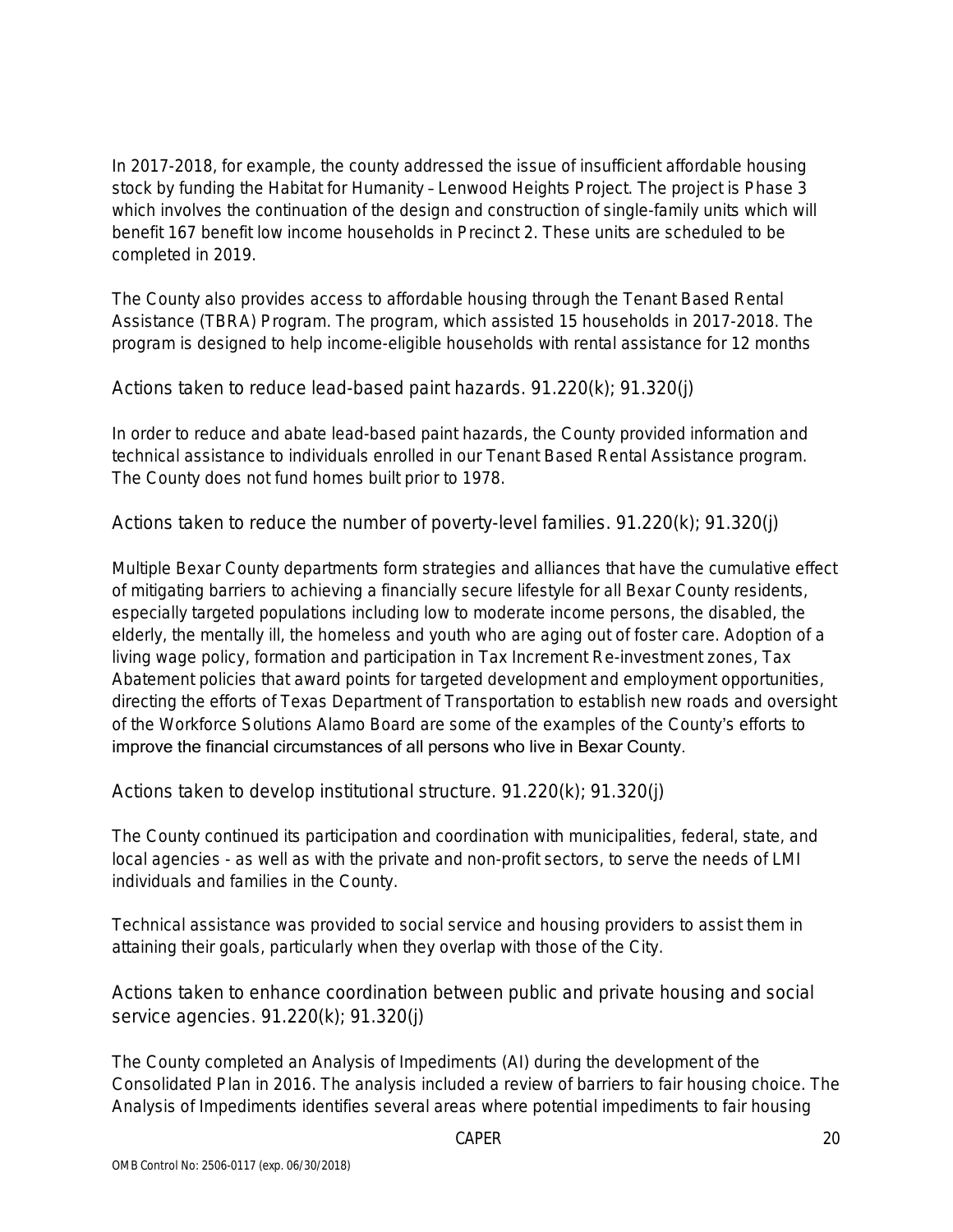In 2017-2018, for example, the county addressed the issue of insufficient affordable housing stock by funding the Habitat for Humanity – Lenwood Heights Project. The project is Phase 3 which involves the continuation of the design and construction of single-family units which will benefit 167 benefit low income households in Precinct 2. These units are scheduled to be completed in 2019.

The County also provides access to affordable housing through the Tenant Based Rental Assistance (TBRA) Program. The program, which assisted 15 households in 2017-2018. The program is designed to help income-eligible households with rental assistance for 12 months

Actions taken to reduce lead-based paint hazards. 91.220(k); 91.320(j)

In order to reduce and abate lead-based paint hazards, the County provided information and technical assistance to individuals enrolled in our Tenant Based Rental Assistance program. The County does not fund homes built prior to 1978.

Actions taken to reduce the number of poverty-level families. 91.220(k); 91.320(j)

Multiple Bexar County departments form strategies and alliances that have the cumulative effect of mitigating barriers to achieving a financially secure lifestyle for all Bexar County residents, especially targeted populations including low to moderate income persons, the disabled, the elderly, the mentally ill, the homeless and youth who are aging out of foster care. Adoption of a living wage policy, formation and participation in Tax Increment Re-investment zones, Tax Abatement policies that award points for targeted development and employment opportunities, directing the efforts of Texas Department of Transportation to establish new roads and oversight of the Workforce Solutions Alamo Board are some of the examples of the County's efforts to improve the financial circumstances of all persons who live in Bexar County.

Actions taken to develop institutional structure. 91.220(k); 91.320(j)

The County continued its participation and coordination with municipalities, federal, state, and local agencies - as well as with the private and non-profit sectors, to serve the needs of LMI individuals and families in the County.

Technical assistance was provided to social service and housing providers to assist them in attaining their goals, particularly when they overlap with those of the City.

Actions taken to enhance coordination between public and private housing and social service agencies. 91.220(k); 91.320(j)

The County completed an Analysis of Impediments (AI) during the development of the Consolidated Plan in 2016. The analysis included a review of barriers to fair housing choice. The Analysis of Impediments identifies several areas where potential impediments to fair housing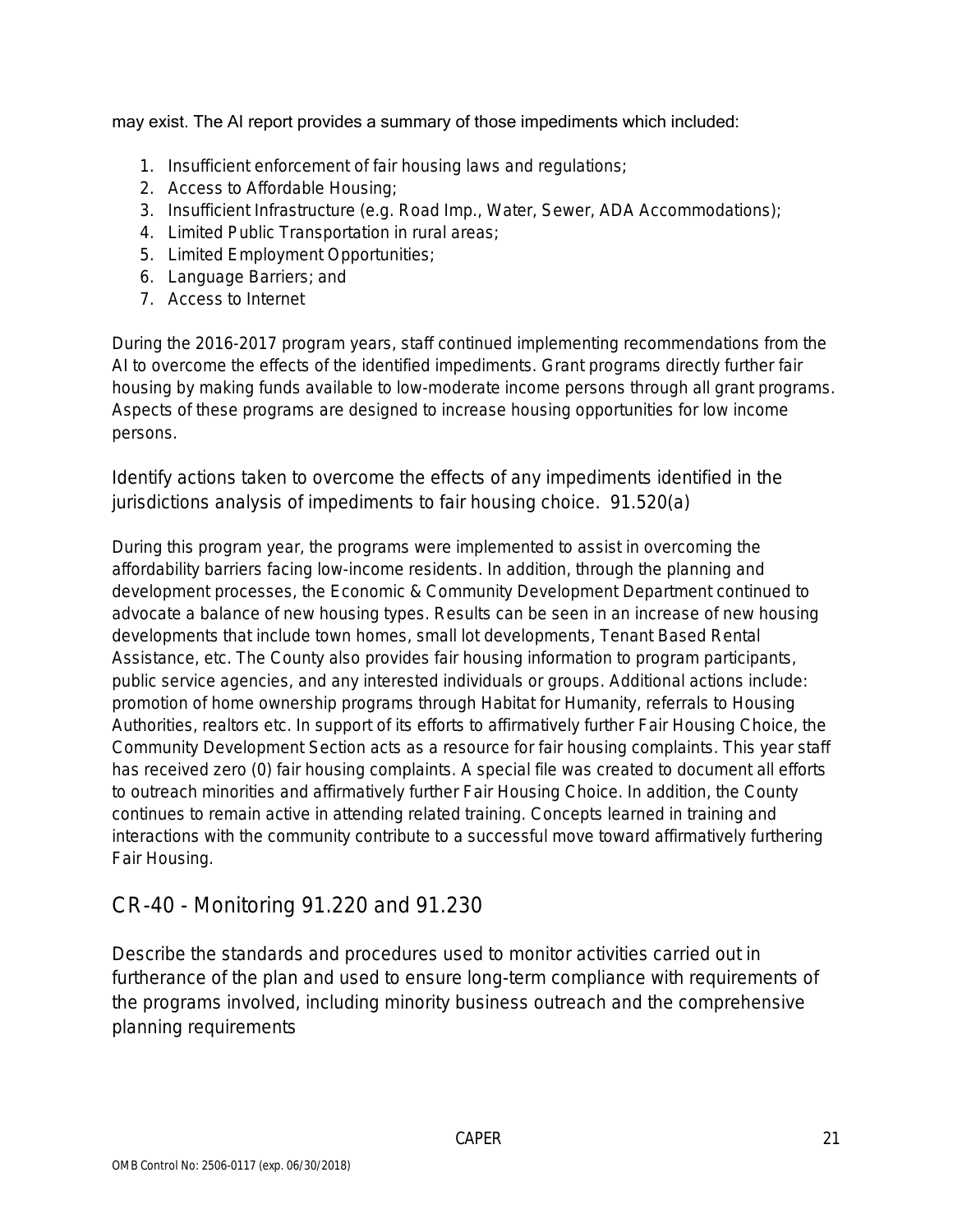### may exist. The AI report provides a summary of those impediments which included:

- 1. Insufficient enforcement of fair housing laws and regulations;
- 2. Access to Affordable Housing;
- 3. Insufficient Infrastructure (e.g. Road Imp., Water, Sewer, ADA Accommodations);
- 4. Limited Public Transportation in rural areas;
- 5. Limited Employment Opportunities;
- 6. Language Barriers; and
- 7. Access to Internet

During the 2016-2017 program years, staff continued implementing recommendations from the AI to overcome the effects of the identified impediments. Grant programs directly further fair housing by making funds available to low-moderate income persons through all grant programs. Aspects of these programs are designed to increase housing opportunities for low income persons.

Identify actions taken to overcome the effects of any impediments identified in the jurisdictions analysis of impediments to fair housing choice. 91.520(a)

During this program year, the programs were implemented to assist in overcoming the affordability barriers facing low-income residents. In addition, through the planning and development processes, the Economic & Community Development Department continued to advocate a balance of new housing types. Results can be seen in an increase of new housing developments that include town homes, small lot developments, Tenant Based Rental Assistance, etc. The County also provides fair housing information to program participants, public service agencies, and any interested individuals or groups. Additional actions include: promotion of home ownership programs through Habitat for Humanity, referrals to Housing Authorities, realtors etc. In support of its efforts to affirmatively further Fair Housing Choice, the Community Development Section acts as a resource for fair housing complaints. This year staff has received zero (0) fair housing complaints. A special file was created to document all efforts to outreach minorities and affirmatively further Fair Housing Choice. In addition, the County continues to remain active in attending related training. Concepts learned in training and interactions with the community contribute to a successful move toward affirmatively furthering Fair Housing.

## CR-40 - Monitoring 91.220 and 91.230

Describe the standards and procedures used to monitor activities carried out in furtherance of the plan and used to ensure long-term compliance with requirements of the programs involved, including minority business outreach and the comprehensive planning requirements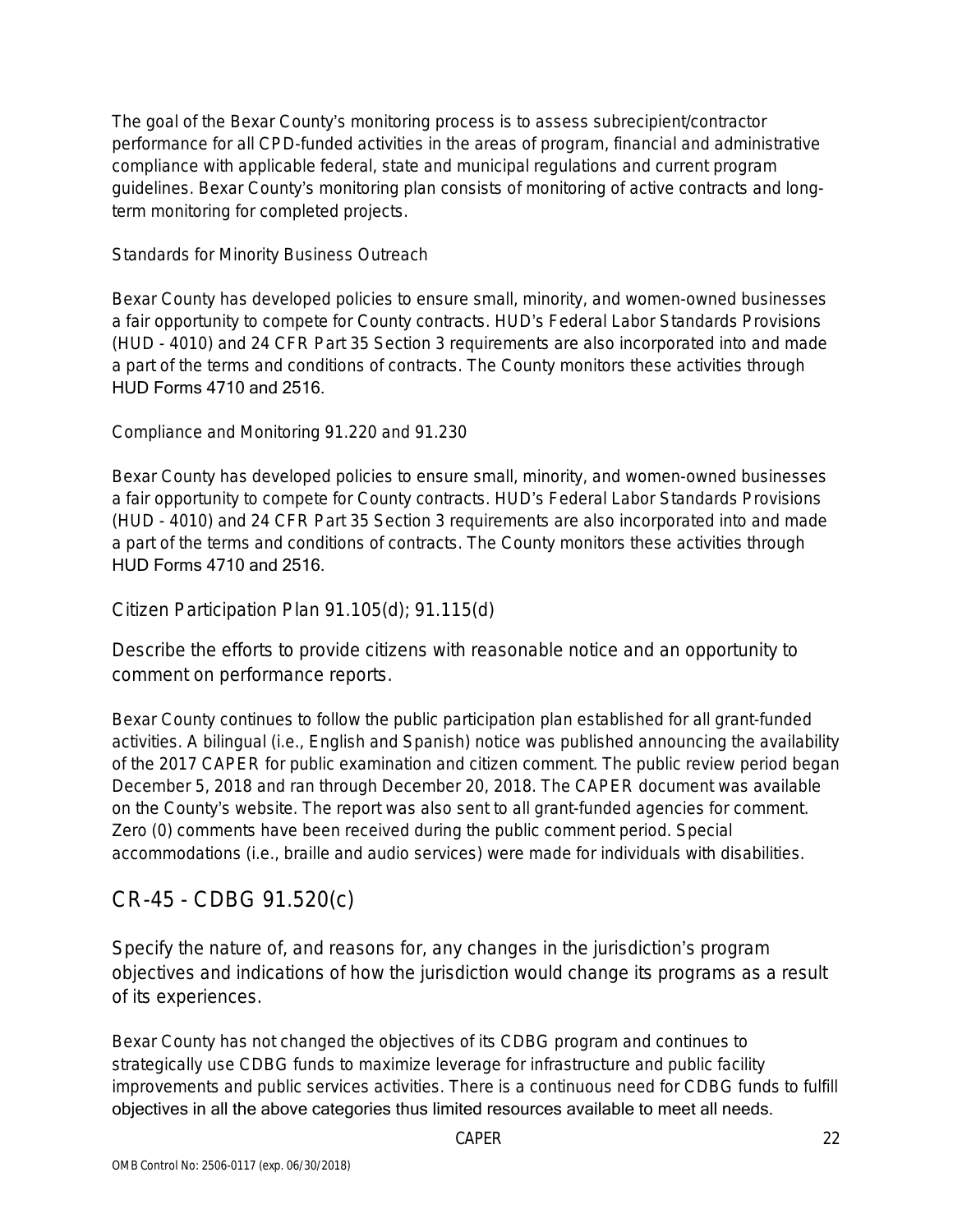The goal of the Bexar County's monitoring process is to assess subrecipient/contractor performance for all CPD-funded activities in the areas of program, financial and administrative compliance with applicable federal, state and municipal regulations and current program guidelines. Bexar County's monitoring plan consists of monitoring of active contracts and longterm monitoring for completed projects.

Standards for Minority Business Outreach

Bexar County has developed policies to ensure small, minority, and women-owned businesses a fair opportunity to compete for County contracts. HUD's Federal Labor Standards Provisions (HUD - 4010) and 24 CFR Part 35 Section 3 requirements are also incorporated into and made a part of the terms and conditions of contracts. The County monitors these activities through HUD Forms 4710 and 2516.

Compliance and Monitoring 91.220 and 91.230

Bexar County has developed policies to ensure small, minority, and women-owned businesses a fair opportunity to compete for County contracts. HUD's Federal Labor Standards Provisions (HUD - 4010) and 24 CFR Part 35 Section 3 requirements are also incorporated into and made a part of the terms and conditions of contracts. The County monitors these activities through HUD Forms 4710 and 2516.

Citizen Participation Plan 91.105(d); 91.115(d)

Describe the efforts to provide citizens with reasonable notice and an opportunity to comment on performance reports.

Bexar County continues to follow the public participation plan established for all grant-funded activities. A bilingual (i.e., English and Spanish) notice was published announcing the availability of the 2017 CAPER for public examination and citizen comment. The public review period began December 5, 2018 and ran through December 20, 2018. The CAPER document was available on the County's website. The report was also sent to all grant-funded agencies for comment. Zero (0) comments have been received during the public comment period. Special accommodations (i.e., braille and audio services) were made for individuals with disabilities.

## CR-45 - CDBG 91.520(c)

Specify the nature of, and reasons for, any changes in the jurisdiction's program objectives and indications of how the jurisdiction would change its programs as a result of its experiences.

Bexar County has not changed the objectives of its CDBG program and continues to strategically use CDBG funds to maximize leverage for infrastructure and public facility improvements and public services activities. There is a continuous need for CDBG funds to fulfill objectives in all the above categories thus limited resources available to meet all needs.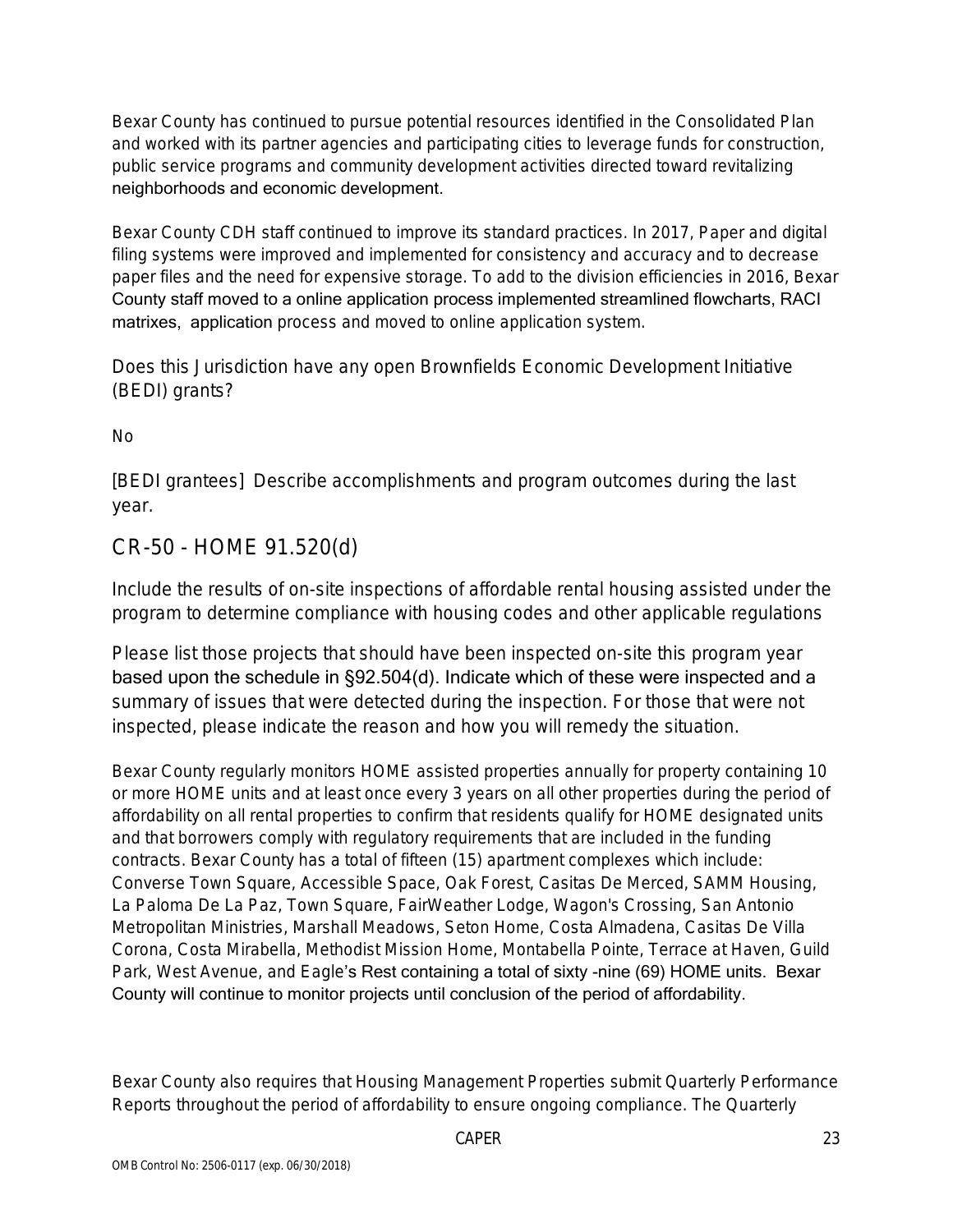Bexar County has continued to pursue potential resources identified in the Consolidated Plan and worked with its partner agencies and participating cities to leverage funds for construction, public service programs and community development activities directed toward revitalizing neighborhoods and economic development.

Bexar County CDH staff continued to improve its standard practices. In 2017, Paper and digital filing systems were improved and implemented for consistency and accuracy and to decrease paper files and the need for expensive storage. To add to the division efficiencies in 2016, Bexar County staff moved to a online application process implemented streamlined flowcharts, RACI matrixes, application process and moved to online application system.

Does this Jurisdiction have any open Brownfields Economic Development Initiative (BEDI) grants?

No

[BEDI grantees] Describe accomplishments and program outcomes during the last year.

## CR-50 - HOME 91.520(d)

Include the results of on-site inspections of affordable rental housing assisted under the program to determine compliance with housing codes and other applicable regulations

Please list those projects that should have been inspected on-site this program year based upon the schedule in §92.504(d). Indicate which of these were inspected and a summary of issues that were detected during the inspection. For those that were not inspected, please indicate the reason and how you will remedy the situation.

Bexar County regularly monitors HOME assisted properties annually for property containing 10 or more HOME units and at least once every 3 years on all other properties during the period of affordability on all rental properties to confirm that residents qualify for HOME designated units and that borrowers comply with regulatory requirements that are included in the funding contracts. Bexar County has a total of fifteen (15) apartment complexes which include: Converse Town Square, Accessible Space, Oak Forest, Casitas De Merced, SAMM Housing, La Paloma De La Paz, Town Square, FairWeather Lodge, Wagon's Crossing, San Antonio Metropolitan Ministries, Marshall Meadows, Seton Home, Costa Almadena, Casitas De Villa Corona, Costa Mirabella, Methodist Mission Home, Montabella Pointe, Terrace at Haven, Guild Park, West Avenue, and Eagle's Rest containing a total of sixty -nine (69) HOME units. Bexar County will continue to monitor projects until conclusion of the period of affordability.

Bexar County also requires that Housing Management Properties submit Quarterly Performance Reports throughout the period of affordability to ensure ongoing compliance. The Quarterly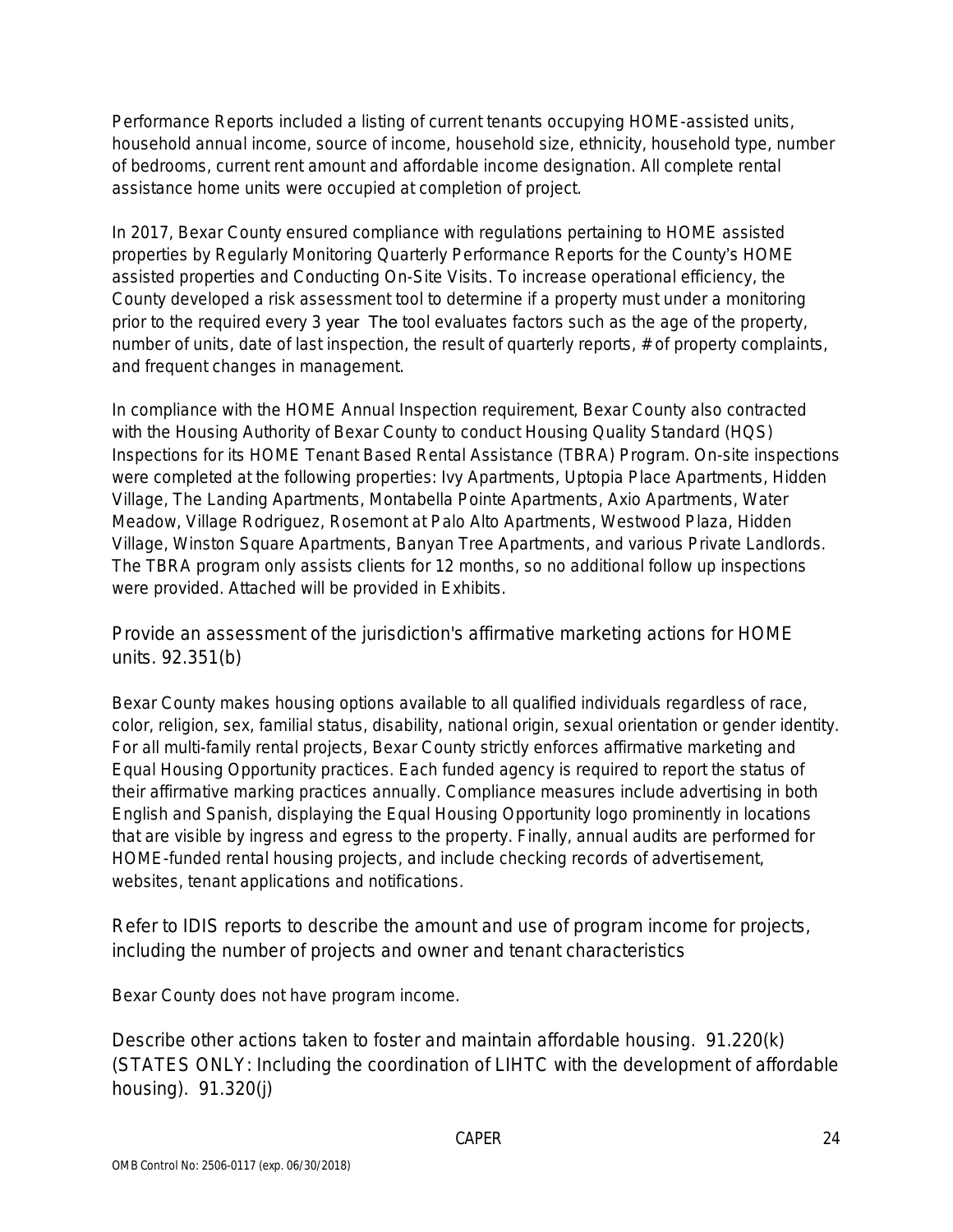Performance Reports included a listing of current tenants occupying HOME-assisted units, household annual income, source of income, household size, ethnicity, household type, number of bedrooms, current rent amount and affordable income designation. All complete rental assistance home units were occupied at completion of project.

In 2017, Bexar County ensured compliance with regulations pertaining to HOME assisted properties by Regularly Monitoring Quarterly Performance Reports for the County's HOME assisted properties and Conducting On-Site Visits. To increase operational efficiency, the County developed a risk assessment tool to determine if a property must under a monitoring prior to the required every 3 year The tool evaluates factors such as the age of the property, number of units, date of last inspection, the result of quarterly reports, # of property complaints, and frequent changes in management.

In compliance with the HOME Annual Inspection requirement, Bexar County also contracted with the Housing Authority of Bexar County to conduct Housing Quality Standard (HQS) Inspections for its HOME Tenant Based Rental Assistance (TBRA) Program. On-site inspections were completed at the following properties: Ivy Apartments, Uptopia Place Apartments, Hidden Village, The Landing Apartments, Montabella Pointe Apartments, Axio Apartments, Water Meadow, Village Rodriguez, Rosemont at Palo Alto Apartments, Westwood Plaza, Hidden Village, Winston Square Apartments, Banyan Tree Apartments, and various Private Landlords. The TBRA program only assists clients for 12 months, so no additional follow up inspections were provided. Attached will be provided in Exhibits.

Provide an assessment of the jurisdiction's affirmative marketing actions for HOME units. 92.351(b)

Bexar County makes housing options available to all qualified individuals regardless of race, color, religion, sex, familial status, disability, national origin, sexual orientation or gender identity. For all multi-family rental projects, Bexar County strictly enforces affirmative marketing and Equal Housing Opportunity practices. Each funded agency is required to report the status of their affirmative marking practices annually. Compliance measures include advertising in both English and Spanish, displaying the Equal Housing Opportunity logo prominently in locations that are visible by ingress and egress to the property. Finally, annual audits are performed for HOME-funded rental housing projects, and include checking records of advertisement, websites, tenant applications and notifications.

Refer to IDIS reports to describe the amount and use of program income for projects, including the number of projects and owner and tenant characteristics

Bexar County does not have program income.

Describe other actions taken to foster and maintain affordable housing. 91.220(k) (STATES ONLY: Including the coordination of LIHTC with the development of affordable housing). 91.320(j)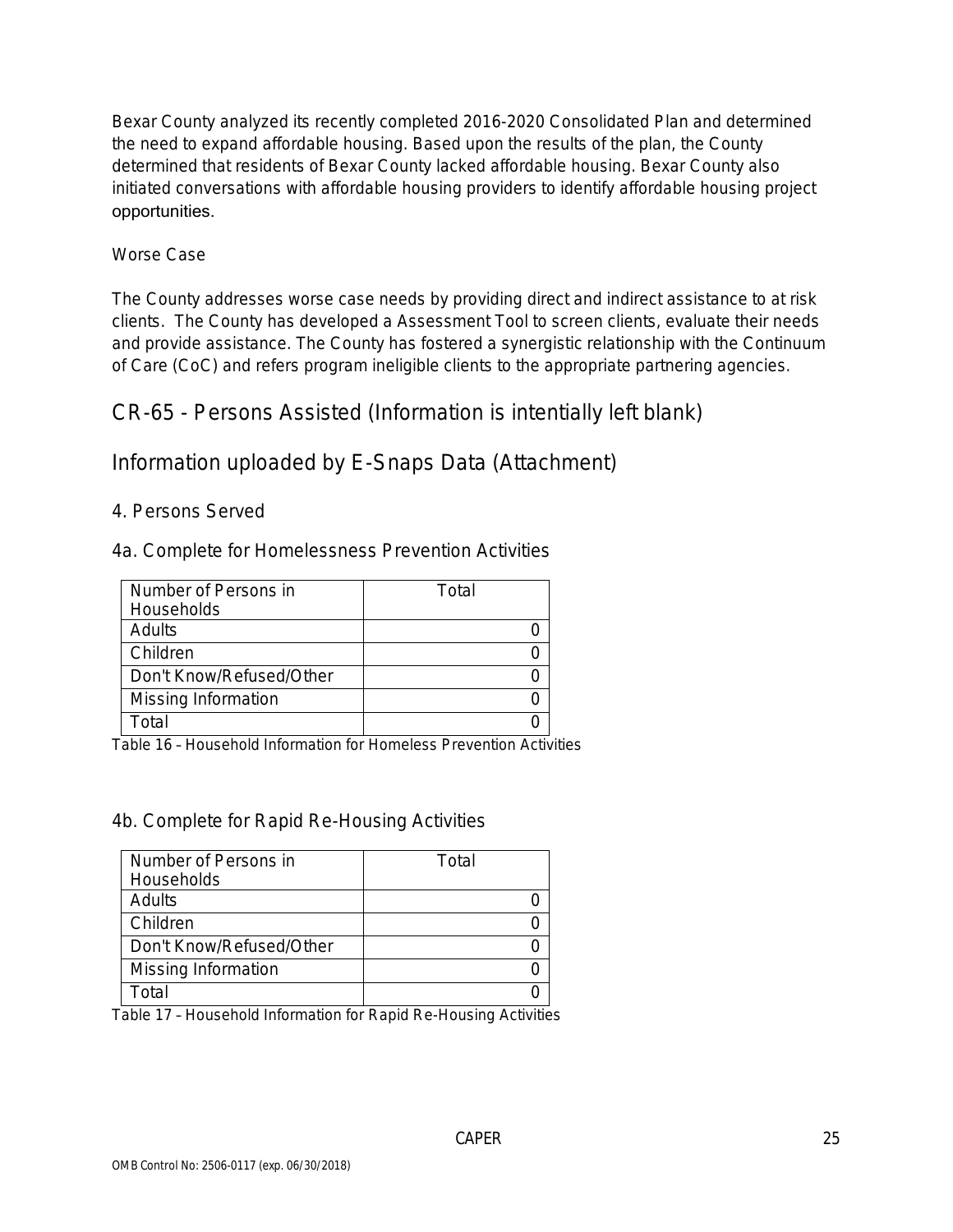Bexar County analyzed its recently completed 2016-2020 Consolidated Plan and determined the need to expand affordable housing. Based upon the results of the plan, the County determined that residents of Bexar County lacked affordable housing. Bexar County also initiated conversations with affordable housing providers to identify affordable housing project opportunities.

### Worse Case

The County addresses worse case needs by providing direct and indirect assistance to at risk clients. The County has developed a Assessment Tool to screen clients, evaluate their needs and provide assistance. The County has fostered a synergistic relationship with the Continuum of Care (CoC) and refers program ineligible clients to the appropriate partnering agencies.

CR-65 - Persons Assisted (Information is intentially left blank)

Information uploaded by E-Snaps Data (Attachment)

### 4. Persons Served

4a. Complete for Homelessness Prevention Activities

| Number of Persons in     | Total |
|--------------------------|-------|
| Households               |       |
| Adults                   |       |
| Children                 |       |
| Don't Know/Refused/Other |       |
| Missing Information      |       |
| Гоtal                    |       |

Table 16 – Household Information for Homeless Prevention Activities

### 4b. Complete for Rapid Re-Housing Activities

| Number of Persons in     | Total |
|--------------------------|-------|
| Households               |       |
| Adults                   |       |
| Children                 |       |
| Don't Know/Refused/Other |       |
| Missing Information      |       |
| ั∩†ล                     |       |

Table 17 – Household Information for Rapid Re-Housing Activities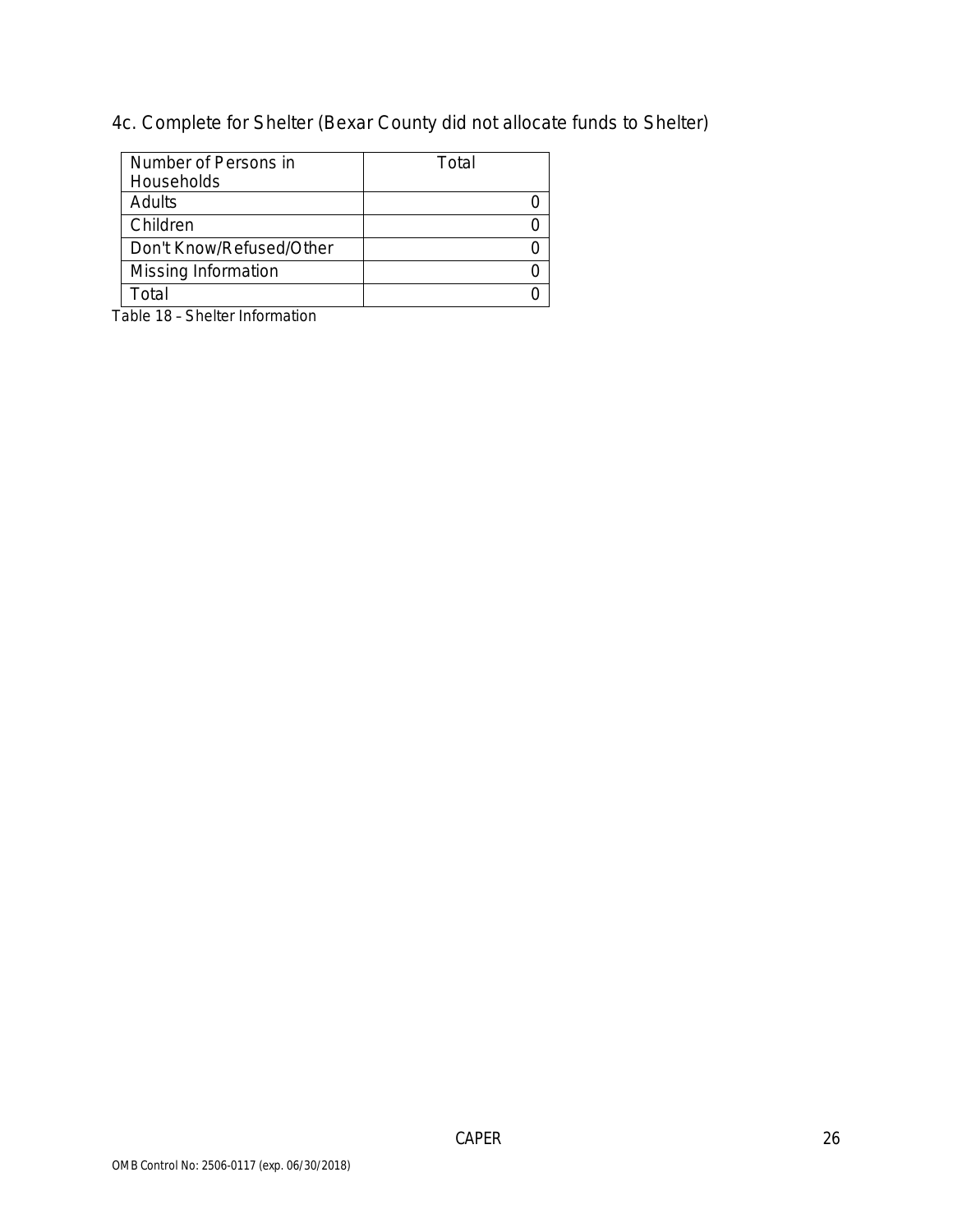4c. Complete for Shelter (Bexar County did not allocate funds to Shelter)

| Number of Persons in     | Total |
|--------------------------|-------|
| Households               |       |
| Adults                   |       |
| Children                 |       |
| Don't Know/Refused/Other |       |
| Missing Information      |       |
| ั∩†al                    |       |

Table 18 – Shelter Information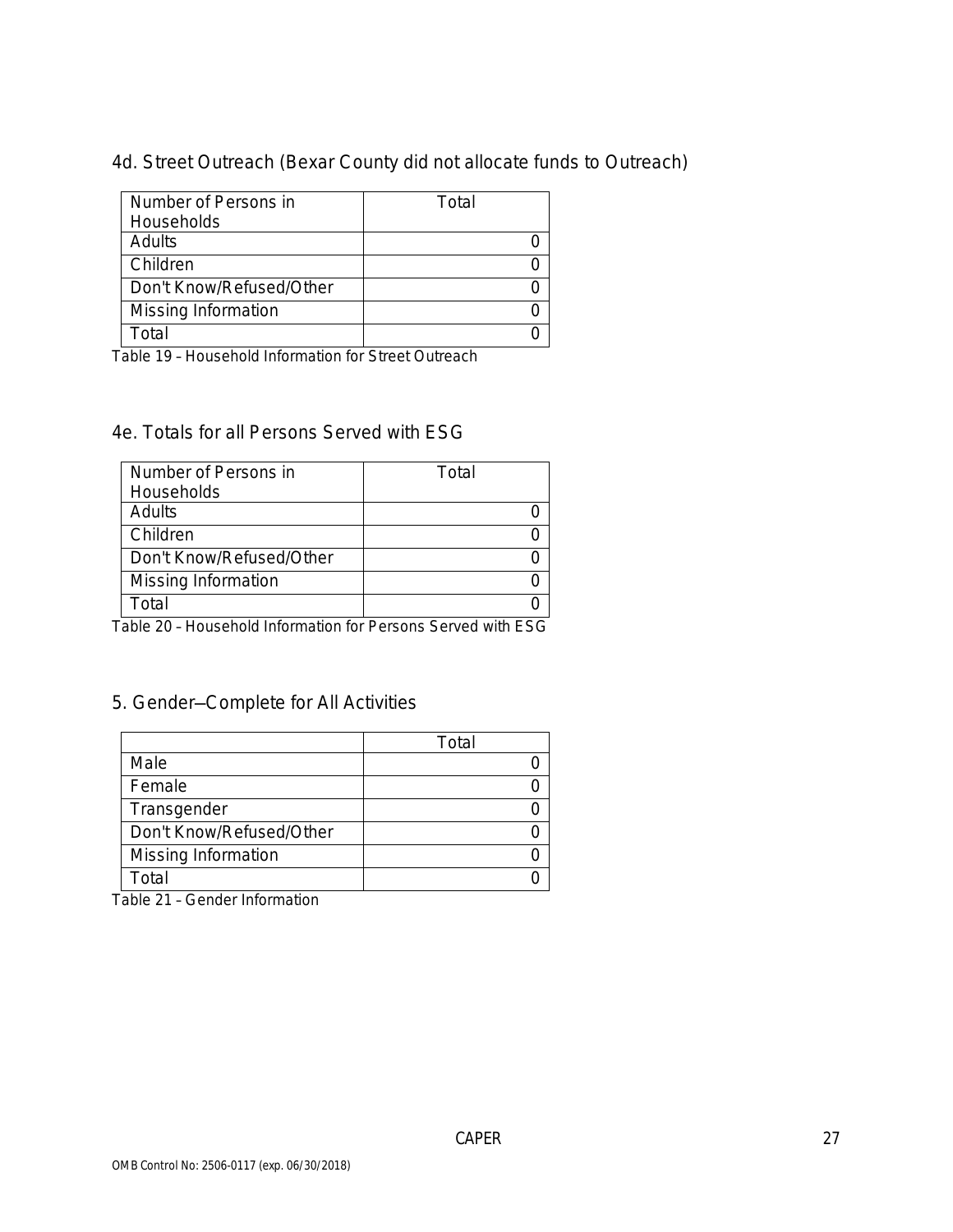4d. Street Outreach (Bexar County did not allocate funds to Outreach)

| Number of Persons in     | Total |
|--------------------------|-------|
| Households               |       |
| Adults                   |       |
| Children                 |       |
| Don't Know/Refused/Other |       |
| Missing Information      |       |
| ั∩†ลI                    |       |

Table 19 – Household Information for Street Outreach

#### 4e. Totals for all Persons Served with ESG

| Number of Persons in     | Total |
|--------------------------|-------|
| Households               |       |
| Adults                   |       |
| Children                 |       |
| Don't Know/Refused/Other |       |
| Missing Information      |       |
| ั∩tal                    |       |

Table 20 – Household Information for Persons Served with ESG

### 5. Gender—Complete for All Activities

|                          | Total |
|--------------------------|-------|
| Male                     |       |
| Female                   |       |
| Transgender              |       |
| Don't Know/Refused/Other |       |
| Missing Information      |       |
| Total                    |       |

Table 21 – Gender Information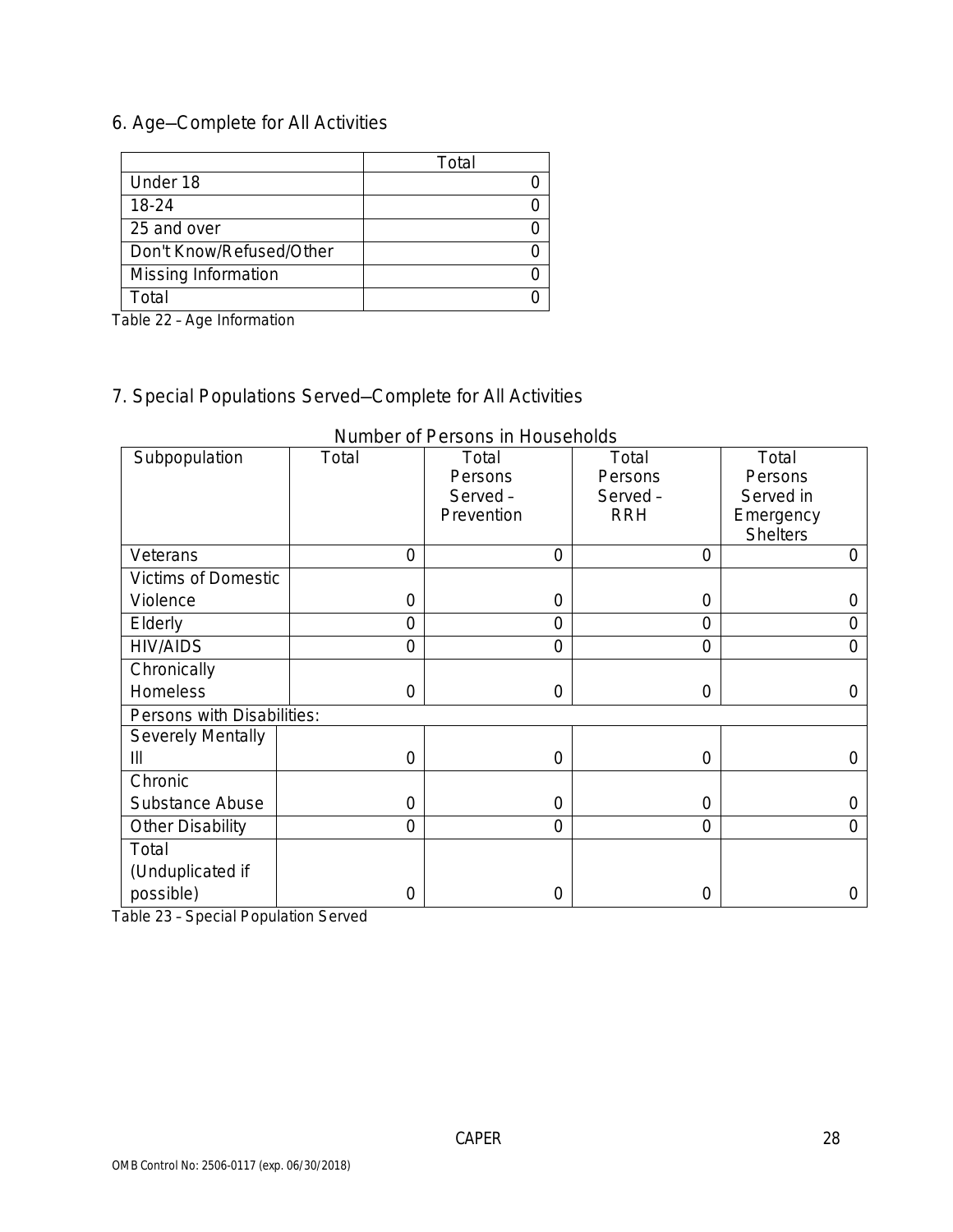## 6. Age—Complete for All Activities

|                          | Total |
|--------------------------|-------|
| Under 18                 |       |
| 18-24                    |       |
| 25 and over              |       |
| Don't Know/Refused/Other |       |
| Missing Information      |       |
| Total                    |       |

Table 22 – Age Information

# 7. Special Populations Served—Complete for All Activities

| Subpopulation              | Total          | Total          | Total          | Total           |
|----------------------------|----------------|----------------|----------------|-----------------|
|                            |                | Persons        | Persons        | Persons         |
|                            |                | Served-        | Served-        | Served in       |
|                            |                | Prevention     | <b>RRH</b>     | Emergency       |
|                            |                |                |                | <b>Shelters</b> |
| Veterans                   | $\overline{0}$ | $\overline{0}$ | $\overline{0}$ | 0               |
| <b>Victims of Domestic</b> |                |                |                |                 |
| Violence                   | $\overline{0}$ | $\overline{0}$ | $\mathbf 0$    | 0               |
| Elderly                    | $\overline{0}$ | 0              | $\overline{0}$ | 0               |
| <b>HIV/AIDS</b>            | $\overline{0}$ | $\overline{0}$ | $\overline{0}$ | $\Omega$        |
| Chronically                |                |                |                |                 |
| Homeless                   | $\overline{0}$ | $\overline{0}$ | $\overline{0}$ | 0               |
| Persons with Disabilities: |                |                |                |                 |
| <b>Severely Mentally</b>   |                |                |                |                 |
| III                        | $\overline{0}$ | $\overline{0}$ | 0              | $\Omega$        |
| Chronic                    |                |                |                |                 |
| Substance Abuse            | $\overline{0}$ | $\overline{0}$ | $\overline{0}$ | 0               |
| Other Disability           | $\overline{0}$ | $\overline{0}$ | $\overline{0}$ | $\Omega$        |
| Total                      |                |                |                |                 |
| (Unduplicated if           |                |                |                |                 |
| possible)                  | $\overline{0}$ | 0              | 0              | 0               |

Number of Persons in Households

Table 23 – Special Population Served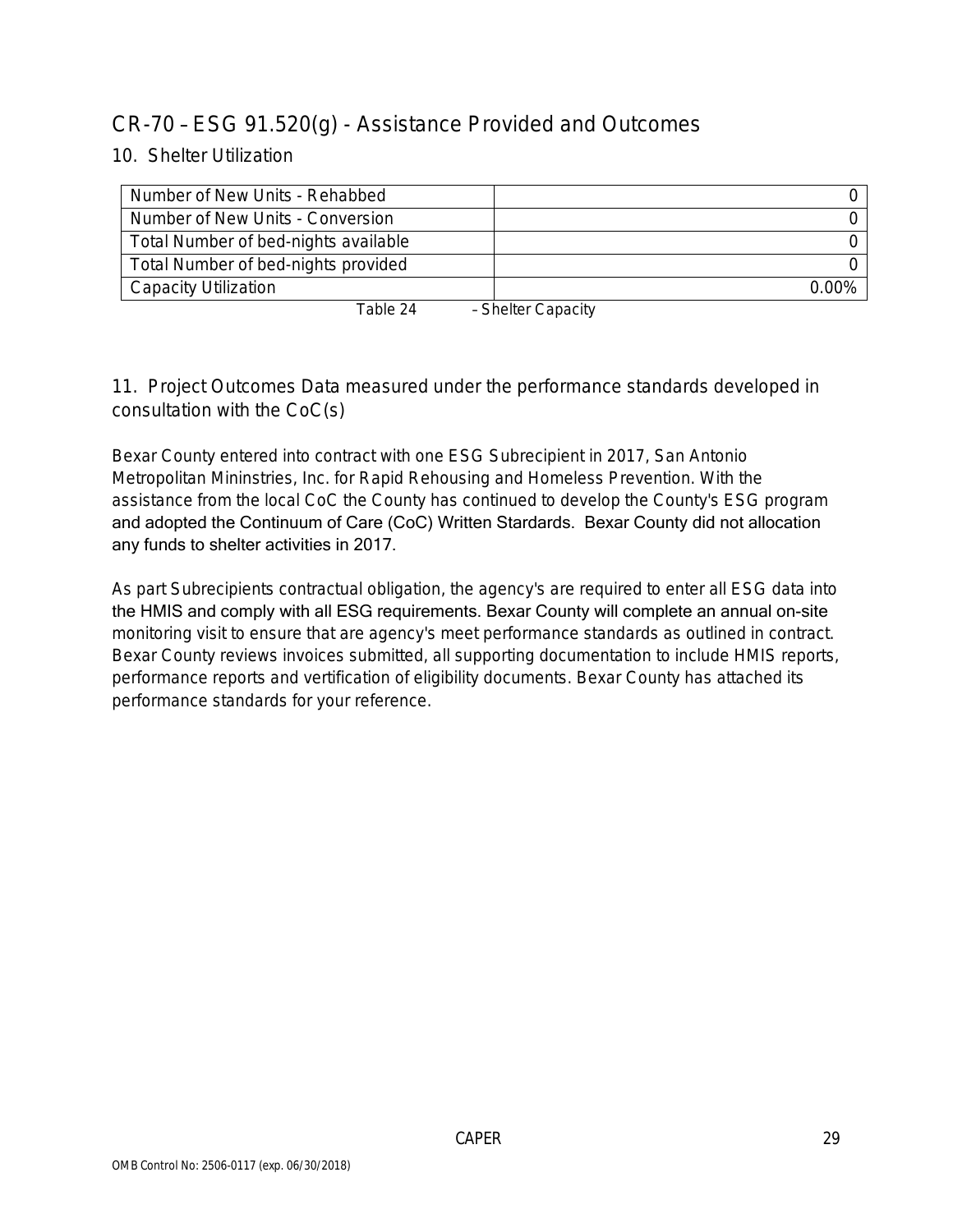## CR-70 – ESG 91.520(g) - Assistance Provided and Outcomes

10. Shelter Utilization

| Number of New Units - Rehabbed       |                  |
|--------------------------------------|------------------|
| Number of New Units - Conversion     |                  |
| Total Number of bed-nights available |                  |
| Total Number of bed-nights provided  |                  |
| Capacity Utilization                 | $0.00\%$         |
| $T_2$ hlo $24$                       | Sholtor Canacity |

Table 24 – Shelter Capacity

11. Project Outcomes Data measured under the performance standards developed in consultation with the CoC(s)

Bexar County entered into contract with one ESG Subrecipient in 2017, San Antonio Metropolitan Mininstries, Inc. for Rapid Rehousing and Homeless Prevention. With the assistance from the local CoC the County has continued to develop the County's ESG program and adopted the Continuum of Care (CoC) Written Stardards. Bexar County did not allocation any funds to shelter activities in 2017.

As part Subrecipients contractual obligation, the agency's are required to enter all ESG data into the HMIS and comply with all ESG requirements. Bexar County will complete an annual on-site monitoring visit to ensure that are agency's meet performance standards as outlined in contract. Bexar County reviews invoices submitted, all supporting documentation to include HMIS reports, performance reports and vertification of eligibility documents. Bexar County has attached its performance standards for your reference.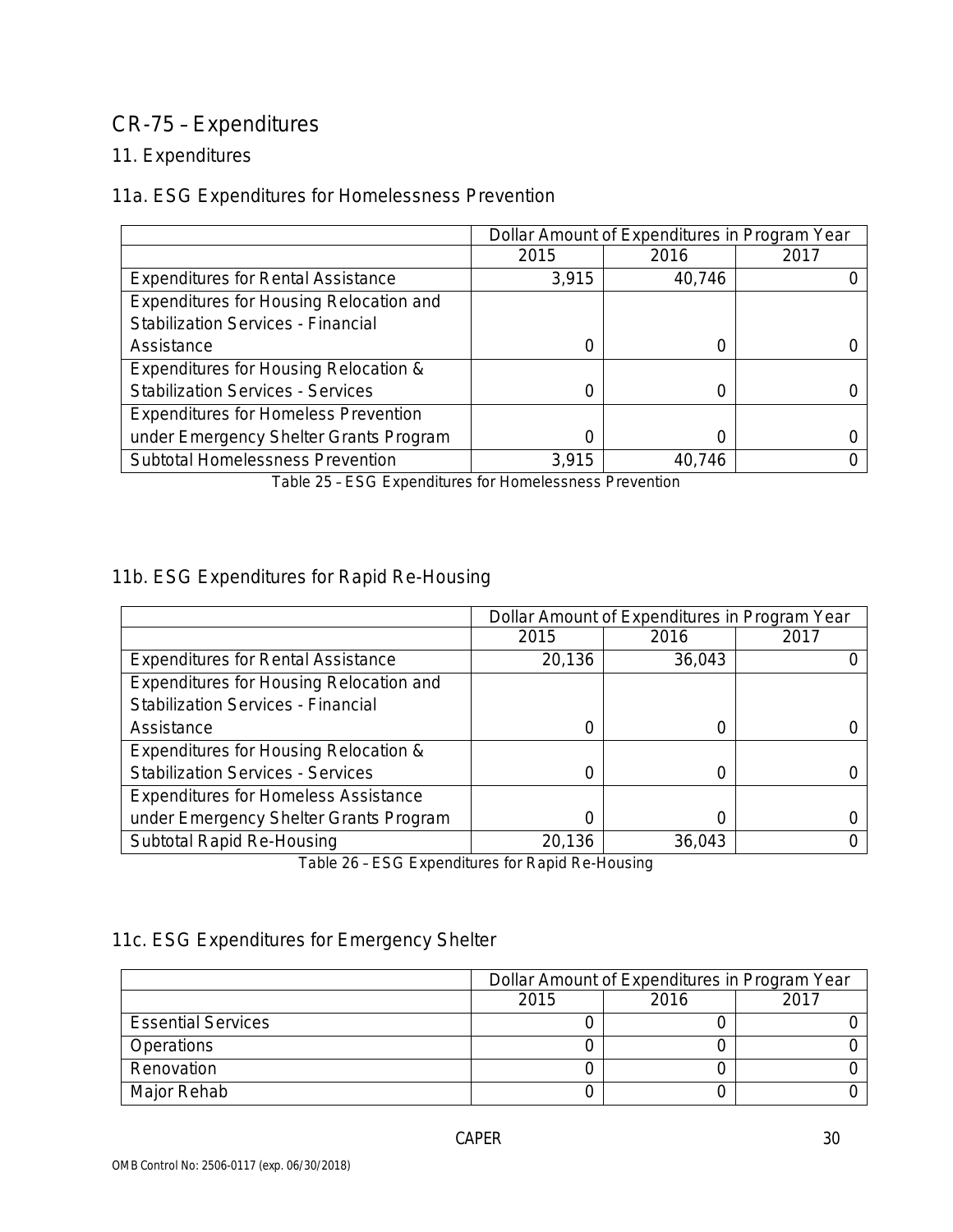# CR-75 – Expenditures

### 11. Expenditures

### 11a. ESG Expenditures for Homelessness Prevention

|                                             | Dollar Amount of Expenditures in Program Year |        |      |
|---------------------------------------------|-----------------------------------------------|--------|------|
|                                             | 2015                                          | 2016   | 2017 |
| <b>Expenditures for Rental Assistance</b>   | 3,915                                         | 40,746 |      |
| Expenditures for Housing Relocation and     |                                               |        |      |
| <b>Stabilization Services - Financial</b>   |                                               |        |      |
| Assistance                                  |                                               |        |      |
| Expenditures for Housing Relocation &       |                                               |        |      |
| <b>Stabilization Services - Services</b>    |                                               | 0      |      |
| <b>Expenditures for Homeless Prevention</b> |                                               |        |      |
| under Emergency Shelter Grants Program      |                                               |        |      |
| <b>Subtotal Homelessness Prevention</b>     | 3,915                                         | 40,746 |      |

Table 25 – ESG Expenditures for Homelessness Prevention

### 11b. ESG Expenditures for Rapid Re-Housing

|                                             | Dollar Amount of Expenditures in Program Year |        |      |
|---------------------------------------------|-----------------------------------------------|--------|------|
|                                             | 2015                                          | 2016   | 2017 |
| <b>Expenditures for Rental Assistance</b>   | 20,136                                        | 36,043 |      |
| Expenditures for Housing Relocation and     |                                               |        |      |
| <b>Stabilization Services - Financial</b>   |                                               |        |      |
| Assistance                                  |                                               |        |      |
| Expenditures for Housing Relocation &       |                                               |        |      |
| <b>Stabilization Services - Services</b>    |                                               | ( )    |      |
| <b>Expenditures for Homeless Assistance</b> |                                               |        |      |
| under Emergency Shelter Grants Program      |                                               |        |      |
| Subtotal Rapid Re-Housing                   | 20,136                                        | 36,043 |      |

Table 26 – ESG Expenditures for Rapid Re-Housing

### 11c. ESG Expenditures for Emergency Shelter

|                           | Dollar Amount of Expenditures in Program Year |  |  |
|---------------------------|-----------------------------------------------|--|--|
|                           | 2015<br>2016<br>2017                          |  |  |
| <b>Essential Services</b> |                                               |  |  |
| <b>Operations</b>         |                                               |  |  |
| Renovation                |                                               |  |  |
| Major Rehab               |                                               |  |  |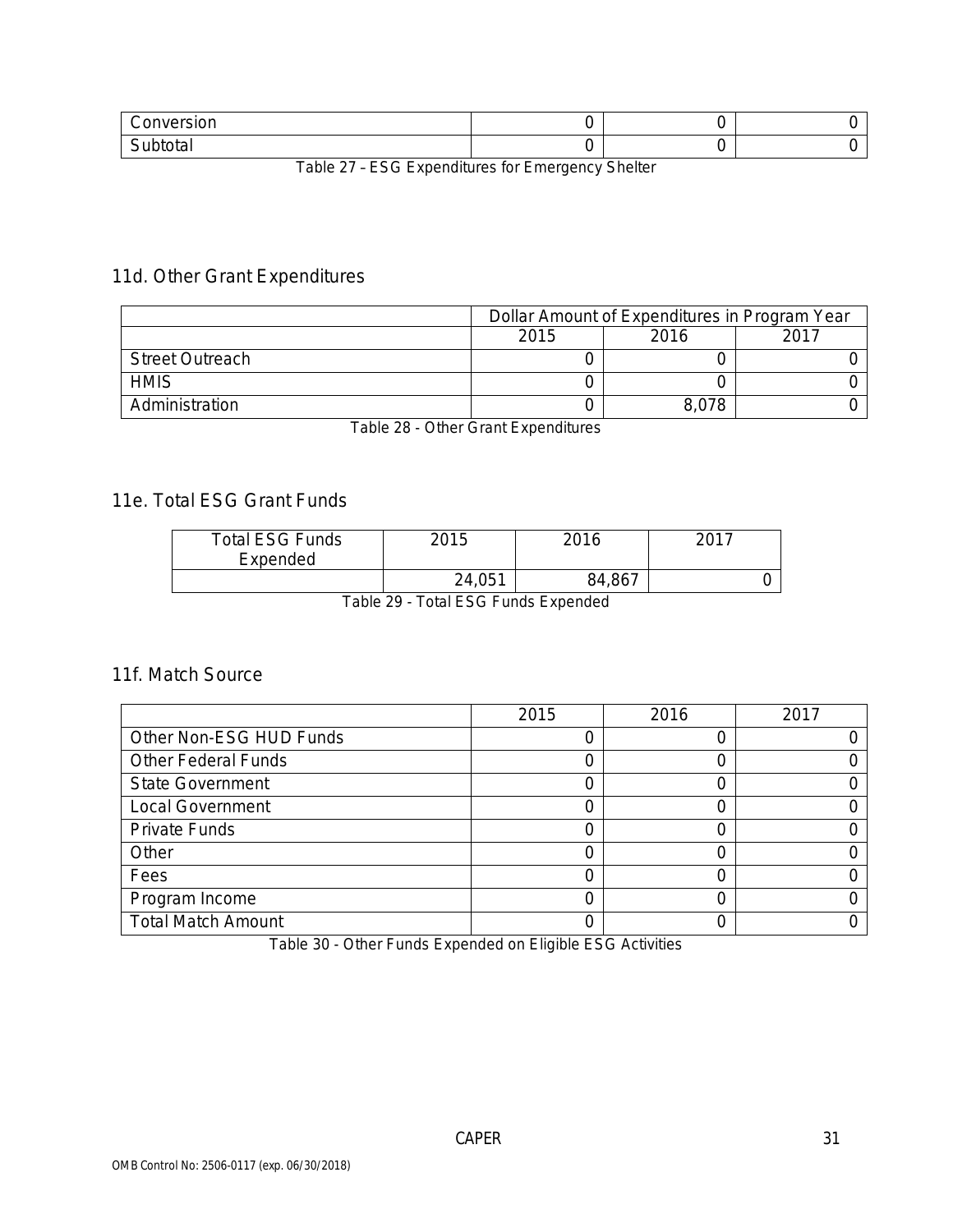| $\sim$ $\sim$ $\sim$ $\sim$<br>$\sim$<br>$\sim$ |  |  |
|-------------------------------------------------|--|--|
| $\overline{\phantom{0}}$<br>.                   |  |  |

Table 27 – ESG Expenditures for Emergency Shelter

### 11d. Other Grant Expenditures

|                        | Dollar Amount of Expenditures in Program Year |       |      |
|------------------------|-----------------------------------------------|-------|------|
|                        | 2015                                          | 2016  | 2017 |
| <b>Street Outreach</b> |                                               |       |      |
| <b>HMIS</b>            |                                               |       |      |
| Administration         |                                               | 8.078 |      |

Table 28 - Other Grant Expenditures

### 11e. Total ESG Grant Funds

| <b>Total ESG Funds</b><br>Expended | 2015   | 2016   | -2017 |
|------------------------------------|--------|--------|-------|
|                                    | 24,051 | 84,867 |       |

Table 29 - Total ESG Funds Expended

#### 11f. Match Source

|                            | 2015 | 2016 | 2017 |
|----------------------------|------|------|------|
| Other Non-ESG HUD Funds    |      |      |      |
| <b>Other Federal Funds</b> |      |      |      |
| <b>State Government</b>    |      |      |      |
| <b>Local Government</b>    |      |      |      |
| <b>Private Funds</b>       |      |      |      |
| Other                      |      |      |      |
| Fees                       |      |      |      |
| Program Income             |      |      |      |
| <b>Total Match Amount</b>  |      |      |      |

Table 30 - Other Funds Expended on Eligible ESG Activities